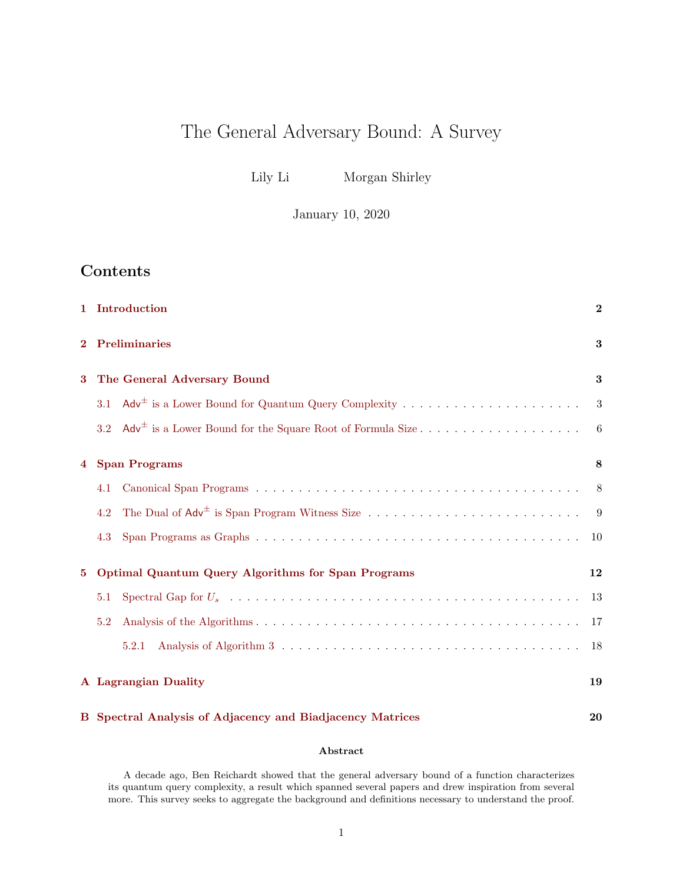# The General Adversary Bound: A Survey

Lily Li Morgan Shirley

January 10, 2020

# Contents

| $\mathbf{1}$   | Introduction                                              |                                                           |    |  |  |  |  |  |
|----------------|-----------------------------------------------------------|-----------------------------------------------------------|----|--|--|--|--|--|
| $\bf{2}$       | <b>Preliminaries</b>                                      |                                                           |    |  |  |  |  |  |
| 3              | The General Adversary Bound                               |                                                           |    |  |  |  |  |  |
|                | 3.1                                                       | $Adv^{\pm}$ is a Lower Bound for Quantum Query Complexity | 3  |  |  |  |  |  |
|                | 3.2                                                       |                                                           | 6  |  |  |  |  |  |
| $\overline{4}$ | <b>Span Programs</b>                                      |                                                           |    |  |  |  |  |  |
|                | 4.1                                                       |                                                           | 8  |  |  |  |  |  |
|                | 4.2                                                       |                                                           | 9  |  |  |  |  |  |
|                | 4.3                                                       |                                                           | 10 |  |  |  |  |  |
| $\bf{5}$       | <b>Optimal Quantum Query Algorithms for Span Programs</b> |                                                           |    |  |  |  |  |  |
|                | 5.1                                                       |                                                           | 13 |  |  |  |  |  |
|                | 5.2                                                       |                                                           | 17 |  |  |  |  |  |
|                |                                                           | 5.2.1                                                     | 18 |  |  |  |  |  |
|                | A Lagrangian Duality<br>19                                |                                                           |    |  |  |  |  |  |

# [B Spectral Analysis of Adjacency and Biadjacency Matrices](#page-19-0) 20

#### Abstract

A decade ago, Ben Reichardt showed that the general adversary bound of a function characterizes its quantum query complexity, a result which spanned several papers and drew inspiration from several more. This survey seeks to aggregate the background and definitions necessary to understand the proof.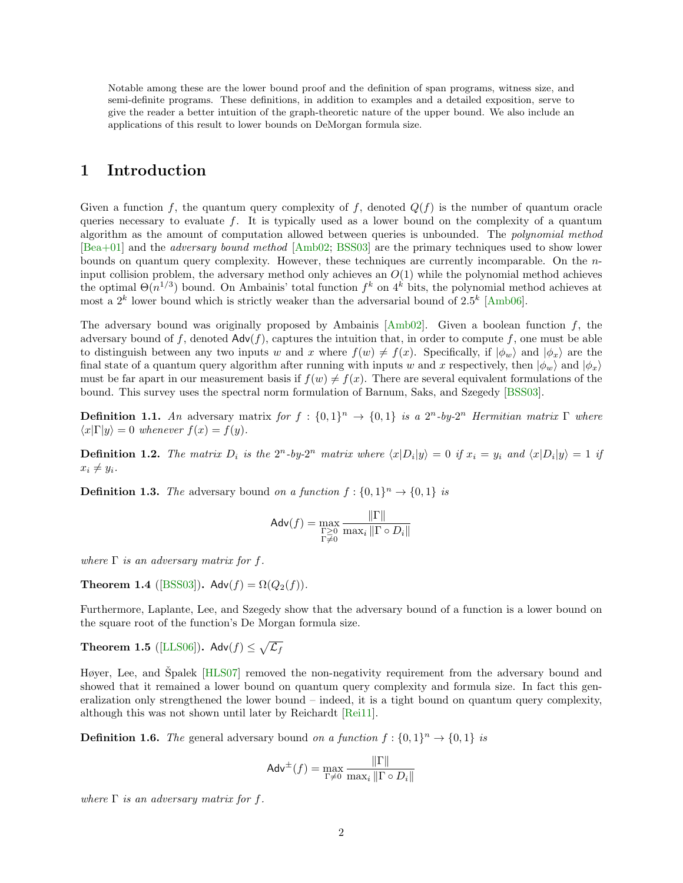Notable among these are the lower bound proof and the definition of span programs, witness size, and semi-definite programs. These definitions, in addition to examples and a detailed exposition, serve to give the reader a better intuition of the graph-theoretic nature of the upper bound. We also include an applications of this result to lower bounds on DeMorgan formula size.

#### <span id="page-1-0"></span>1 Introduction

Given a function f, the quantum query complexity of f, denoted  $Q(f)$  is the number of quantum oracle queries necessary to evaluate  $f$ . It is typically used as a lower bound on the complexity of a quantum algorithm as the amount of computation allowed between queries is unbounded. The polynomial method [\[Bea+01\]](#page-22-0) and the adversary bound method [\[Amb02;](#page-22-1) [BSS03\]](#page-22-2) are the primary techniques used to show lower bounds on quantum query complexity. However, these techniques are currently incomparable. On the  $n$ input collision problem, the adversary method only achieves an  $O(1)$  while the polynomial method achieves the optimal  $\Theta(n^{1/3})$  bound. On Ambainis' total function  $f^k$  on  $4^k$  bits, the polynomial method achieves at most a  $2^k$  lower bound which is strictly weaker than the adversarial bound of  $2.5^k$  [\[Amb06\]](#page-22-3).

The adversary bound was originally proposed by Ambainis  $[Amb02]$ . Given a boolean function f, the adversary bound of f, denoted  $\mathsf{Adv}(f)$ , captures the intuition that, in order to compute f, one must be able to distinguish between any two inputs w and x where  $f(w) \neq f(x)$ . Specifically, if  $|\phi_w\rangle$  and  $|\phi_x\rangle$  are the final state of a quantum query algorithm after running with inputs w and x respectively, then  $|\phi_w\rangle$  and  $|\phi_x\rangle$ must be far apart in our measurement basis if  $f(w) \neq f(x)$ . There are several equivalent formulations of the bound. This survey uses the spectral norm formulation of Barnum, Saks, and Szegedy [\[BSS03\]](#page-22-2).

**Definition 1.1.** An adversary matrix for  $f : \{0,1\}^n \to \{0,1\}$  is a  $2^n$ -by- $2^n$  Hermitian matrix  $\Gamma$  where  $\langle x|\Gamma|y\rangle = 0$  whenever  $f(x) = f(y)$ .

**Definition 1.2.** The matrix  $D_i$  is the  $2^n$ -by- $2^n$  matrix where  $\langle x|D_i|y\rangle = 0$  if  $x_i = y_i$  and  $\langle x|D_i|y\rangle = 1$  if  $x_i \neq y_i$ .

**Definition 1.3.** The adversary bound on a function  $f: \{0,1\}^n \rightarrow \{0,1\}$  is

$$
\mathsf{Adv}(f) = \max_{\substack{\Gamma \geq 0 \\ \Gamma \neq 0}} \frac{\|\Gamma\|}{\max_i \|\Gamma \circ D_i\|}
$$

where  $\Gamma$  is an adversary matrix for f.

Theorem 1.4 ([\[BSS03\]](#page-22-2)). Adv( $f$ ) =  $\Omega(Q_2(f))$ .

Furthermore, Laplante, Lee, and Szegedy show that the adversary bound of a function is a lower bound on the square root of the function's De Morgan formula size.

**Theorem 1.5** ([\[LLS06\]](#page-22-4)). Adv $(f) \leq \sqrt{\mathcal{L}_f}$ 

Høyer, Lee, and Špalek [[HLS07\]](#page-22-5) removed the non-negativity requirement from the adversary bound and showed that it remained a lower bound on quantum query complexity and formula size. In fact this generalization only strengthened the lower bound – indeed, it is a tight bound on quantum query complexity, although this was not shown until later by Reichardt [\[Rei11\]](#page-22-6).

**Definition 1.6.** The general adversary bound on a function  $f: \{0,1\}^n \to \{0,1\}$  is

$$
\mathsf{Adv}^{\pm}(f) = \max_{\Gamma \neq 0} \frac{\|\Gamma\|}{\max_i \|\Gamma \circ D_i\|}
$$

where  $\Gamma$  is an adversary matrix for f.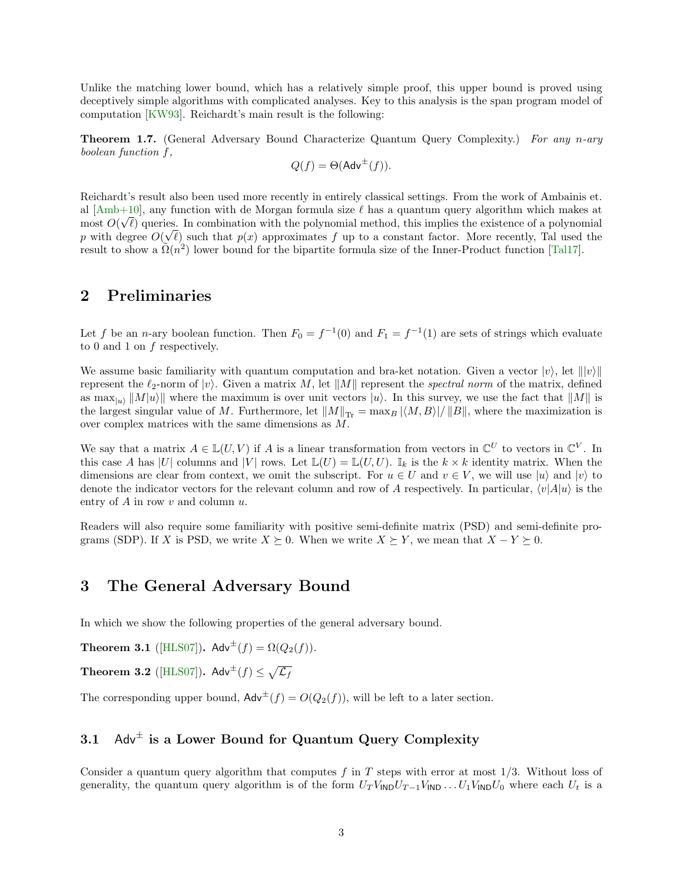Unlike the matching lower bound, which has a relatively simple proof, this upper bound is proved using deceptively simple algorithms with complicated analyses. Key to this analysis is the span program model of computation [\[KW93\]](#page-22-7). Reichardt's main result is the following:

Theorem 1.7. (General Adversary Bound Characterize Quantum Query Complexity.) For any n-ary boolean function f,

$$
Q(f) = \Theta(\mathsf{Adv}^{\pm}(f)).
$$

Reichardt's result also been used more recently in entirely classical settings. From the work of Ambainis et. al  $[Amb+10]$ , any function with de Morgan formula size  $\ell$  has a quantum query algorithm which makes at most  $O(\sqrt{\ell})$  queries. In combination with the polynomial method, this implies the existence of a polynomial p with degree  $O(\sqrt{\ell})$  such that  $p(x)$  approximates f up to a constant factor. More recently, Tal used the result to show a  $\tilde{\Omega}(n^2)$  lower bound for the bipartite formula size of the Inner-Product function [\[Tal17\]](#page-23-0).

### <span id="page-2-0"></span>2 Preliminaries

Let f be an n-ary boolean function. Then  $F_0 = f^{-1}(0)$  and  $F_1 = f^{-1}(1)$  are sets of strings which evaluate to 0 and 1 on f respectively.

We assume basic familiarity with quantum computation and bra-ket notation. Given a vector  $|v\rangle$ , let  $||v\rangle||$ represent the  $\ell_2$ -norm of  $|v\rangle$ . Given a matrix M, let  $||M||$  represent the spectral norm of the matrix, defined as  $\max_{|u\rangle} ||M|u\rangle ||$  where the maximum is over unit vectors  $|u\rangle$ . In this survey, we use the fact that  $||M||$  is the largest singular value of M. Furthermore, let  $||M||_{\text{Tr}} = \max_{B} |\langle M, B \rangle| / ||B||$ , where the maximization is over complex matrices with the same dimensions as M.

We say that a matrix  $A \in \mathbb{L}(U, V)$  if A is a linear transformation from vectors in  $\mathbb{C}^U$  to vectors in  $\mathbb{C}^V$ . In this case A has |U| columns and |V| rows. Let  $\mathbb{L}(U) = \mathbb{L}(U, U)$ .  $\mathbb{I}_k$  is the  $k \times k$  identity matrix. When the dimensions are clear from context, we omit the subscript. For  $u \in U$  and  $v \in V$ , we will use  $|u\rangle$  and  $|v\rangle$  to denote the indicator vectors for the relevant column and row of A respectively. In particular,  $\langle v|A|u\rangle$  is the entry of  $A$  in row  $v$  and column  $u$ .

Readers will also require some familiarity with positive semi-definite matrix (PSD) and semi-definite programs (SDP). If X is PSD, we write  $X \succeq 0$ . When we write  $X \succeq Y$ , we mean that  $X - Y \succeq 0$ .

#### <span id="page-2-1"></span>3 The General Adversary Bound

In which we show the following properties of the general adversary bound.

<span id="page-2-3"></span>**Theorem 3.1** ([\[HLS07\]](#page-22-5)).  $\mathsf{Adv}^{\pm}(f) = \Omega(Q_2(f)).$ 

<span id="page-2-4"></span>**Theorem 3.2** ([\[HLS07\]](#page-22-5)).  $\mathsf{Adv}^{\pm}(f) \leq \sqrt{\mathcal{L}_f}$ 

The corresponding upper bound,  $\mathsf{Adv}^{\pm}(f) = O(Q_2(f))$ , will be left to a later section.

### <span id="page-2-2"></span>3.1 Adv<sup> $\pm$ </sup> is a Lower Bound for Quantum Query Complexity

Consider a quantum query algorithm that computes  $f$  in  $T$  steps with error at most  $1/3$ . Without loss of generality, the quantum query algorithm is of the form  $U_T V_{\mathsf{IND}} U_{T-1} V_{\mathsf{IND}} \ldots U_1 V_{\mathsf{IND}} U_0$  where each  $U_t$  is a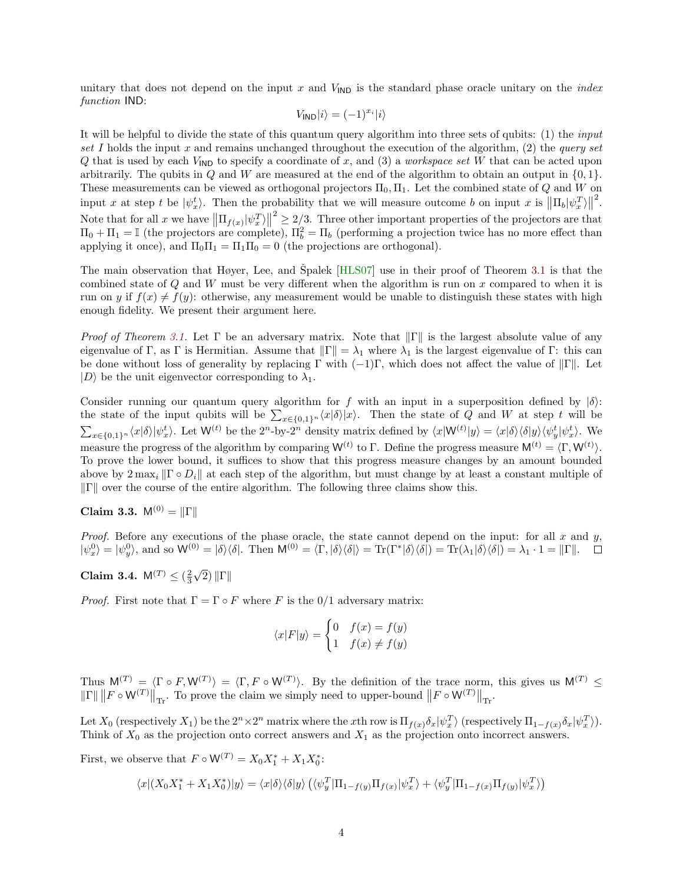unitary that does not depend on the input x and  $V_{\text{IND}}$  is the standard phase oracle unitary on the *index* function IND:

$$
V_{\text{IND}}|i\rangle=(-1)^{x_i}|i\rangle
$$

It will be helpful to divide the state of this quantum query algorithm into three sets of qubits: (1) the input set I holds the input x and remains unchanged throughout the execution of the algorithm,  $(2)$  the *query set* Q that is used by each  $V_{\text{IND}}$  to specify a coordinate of x, and (3) a workspace set W that can be acted upon arbitrarily. The qubits in  $Q$  and  $W$  are measured at the end of the algorithm to obtain an output in  $\{0, 1\}$ . These measurements can be viewed as orthogonal projectors  $\Pi_0, \Pi_1$ . Let the combined state of Q and W on input x at step t be  $|\psi_x^t\rangle$ . Then the probability that we will measure outcome b on input x is  $\|\Pi_b|\psi_x^T\rangle\|$ 2 . Note that for all x we have  $\left\|\Pi_{f(x)}|\psi_x^T\rangle\right\|$  $2 \geq 2/3$ . Three other important properties of the projectors are that  $\Pi_0 + \Pi_1 = \mathbb{I}$  (the projectors are complete),  $\Pi_b^2 = \Pi_b$  (performing a projection twice has no more effect than applying it once), and  $\Pi_0 \Pi_1 = \Pi_1 \Pi_0 = 0$  (the projections are orthogonal).

The main observation that Høyer, Lee, and Špalek  $[HLS07]$  $[HLS07]$  use in their proof of Theorem [3.1](#page-2-3) is that the combined state of  $Q$  and  $W$  must be very different when the algorithm is run on  $x$  compared to when it is run on y if  $f(x) \neq f(y)$ : otherwise, any measurement would be unable to distinguish these states with high enough fidelity. We present their argument here.

*Proof of Theorem [3.1.](#page-2-3)* Let Γ be an adversary matrix. Note that  $\|\Gamma\|$  is the largest absolute value of any eigenvalue of Γ, as Γ is Hermitian. Assume that  $\|\Gamma\| = \lambda_1$  where  $\lambda_1$  is the largest eigenvalue of Γ: this can be done without loss of generality by replacing Γ with  $(-1)\Gamma$ , which does not affect the value of  $\|\Gamma\|$ . Let  $|D\rangle$  be the unit eigenvector corresponding to  $\lambda_1$ .

Consider running our quantum query algorithm for f with an input in a superposition defined by  $|\delta\rangle$ : the state of the input qubits will be  $\sum_{x \in \{0,1\}^n} \langle x | \delta \rangle |x\rangle$ . Then the state of Q and W at step t will be  $\sum_{x\in\{0,1\}^n} \langle x|\delta\rangle |\psi_x^t\rangle$ . Let  $\mathsf{W}^{(t)}$  be the  $2^n$ -by- $2^n$  density matrix defined by  $\langle x|\mathsf{W}^{(t)}|y\rangle = \langle x|\delta\rangle \langle \delta |y\rangle \langle \psi_y^t|\psi_x^t\rangle$ . We measure the progress of the algorithm by comparing  $W^{(t)}$  to  $\Gamma$ . Define the progress measure  $M^{(t)} = \langle \Gamma, W^{(t)} \rangle$ . To prove the lower bound, it suffices to show that this progress measure changes by an amount bounded above by  $2 \max_i ||\Gamma \circ D_i||$  at each step of the algorithm, but must change by at least a constant multiple of  $\|\Gamma\|$  over the course of the entire algorithm. The following three claims show this.

Claim 3.3.  $M^{(0)} = ||\Gamma||$ 

*Proof.* Before any executions of the phase oracle, the state cannot depend on the input: for all  $x$  and  $y$ ,  $|\psi_x^0\rangle = |\psi_y^0\rangle$ , and so  $\mathsf{W}^{(0)} = |\delta\rangle\langle\delta|$ . Then  $\mathsf{M}^{(0)} = \langle \Gamma, |\delta\rangle\langle\delta| \rangle = \text{Tr}(\Gamma^*|\delta\rangle\langle\delta|) = \text{Tr}(\lambda_1|\delta\rangle\langle\delta|) = \lambda_1 \cdot 1 = ||\Gamma||$ .

Claim 3.4.  $M^{(T)} \leq (\frac{2}{3})$ √  $2)$   $\|\Gamma\|$ 

*Proof.* First note that  $\Gamma = \Gamma \circ F$  where F is the 0/1 adversary matrix:

$$
\langle x|F|y\rangle = \begin{cases} 0 & f(x) = f(y) \\ 1 & f(x) \neq f(y) \end{cases}
$$

Thus  $M^{(T)} = \langle \Gamma \circ F, W^{(T)} \rangle = \langle \Gamma, F \circ W^{(T)} \rangle$ . By the definition of the trace norm, this gives us  $M^{(T)} \leq$  $\left\| \Gamma \right\| \left\| F \circ W^{(T)} \right\|_{\text{Tr}}$ . To prove the claim we simply need to upper-bound  $\left\| F \circ W^{(T)} \right\|_{\text{Tr}}$ .

Let  $X_0$  (respectively  $X_1$ ) be the  $2^n \times 2^n$  matrix where the xth row is  $\Pi_{f(x)} \delta_x |\psi_x^T\rangle$  (respectively  $\Pi_{1-f(x)} \delta_x |\psi_x^T\rangle$ ). Think of  $X_0$  as the projection onto correct answers and  $X_1$  as the projection onto incorrect answers.

First, we observe that  $F \circ \mathsf{W}^{(T)} = X_0 X_1^* + X_1 X_0^*$ :

$$
\langle x|(X_0X_1^*+X_1X_0^*)|y\rangle=\langle x|\delta\rangle\langle\delta|y\rangle\left(\langle\psi_y^T|\Pi_{1-f(y)}\Pi_{f(x)}|\psi_x^T\rangle+\langle\psi_y^T|\Pi_{1-f(x)}\Pi_{f(y)}|\psi_x^T\rangle\right)
$$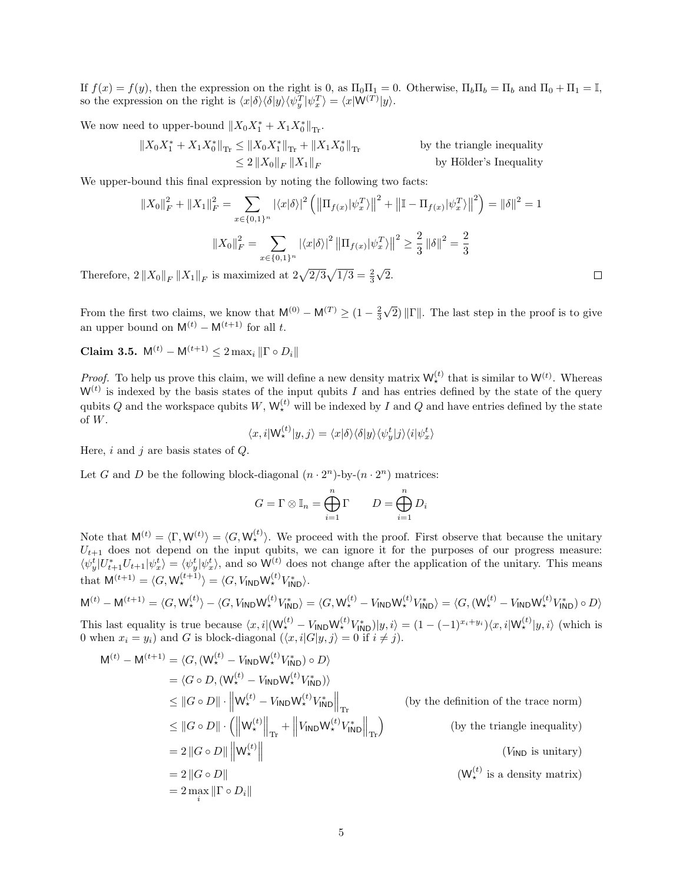If  $f(x) = f(y)$ , then the expression on the right is 0, as  $\Pi_0 \Pi_1 = 0$ . Otherwise,  $\Pi_b \Pi_b = \Pi_b$  and  $\Pi_0 + \Pi_1 = \mathbb{I}$ , so the expression on the right is  $\langle x|\delta\rangle\langle\delta|y\rangle\langle\psi_y^T|\psi_x^T\rangle = \langle x|W^{(T)}|y\rangle.$ 

We now need to upper-bound  $||X_0X_1^* + X_1X_0^*||_{\text{Tr}}$ .

$$
\begin{aligned}\n\|X_0 X_1^* + X_1 X_0^*\|_{\text{Tr}} &\le \|X_0 X_1^*\|_{\text{Tr}} + \|X_1 X_0^*\|_{\text{Tr}} &\text{by the triangle inequality} \\
&\le 2\, \|X_0\|_F \, \|X_1\|_F &\text{by Hölder's Inequality}\n\end{aligned}
$$

We upper-bound this final expression by noting the following two facts:

$$
||X_0||_F^2 + ||X_1||_F^2 = \sum_{x \in \{0,1\}^n} |\langle x|\delta\rangle|^2 \left( \left\|\Pi_{f(x)}|\psi_x^T\rangle\right\|^2 + \left\|\mathbb{I} - \Pi_{f(x)}|\psi_x^T\rangle\right\|^2 \right) = ||\delta||^2 = 1
$$
  

$$
||X_0||_F^2 = \sum_{x \in \{0,1\}^n} |\langle x|\delta\rangle|^2 \left\|\Pi_{f(x)}|\psi_x^T\rangle\right\|^2 \ge \frac{2}{3} ||\delta||^2 = \frac{2}{3}
$$

Therefore,  $2\left\|X_0\right\|_F\left\|X_1\right\|_F$  is maximized at  $2\sqrt{2/3}\sqrt{1/3}=\frac{2}{3}$ 2.

From the first two claims, we know that  $M^{(0)} - M^{(T)} \geq (1 - \frac{2}{3})$ √ 2)  $\|\Gamma\|$ . The last step in the proof is to give an upper bound on  $M^{(t)} - M^{(t+1)}$  for all t.

Claim 3.5.  $M^{(t)} - M^{(t+1)} \leq 2 \max_i ||\Gamma \circ D_i||$ 

*Proof.* To help us prove this claim, we will define a new density matrix  $W_{\star}^{(t)}$  that is similar to  $W^{(t)}$ . Whereas  $W<sup>(t)</sup>$  is indexed by the basis states of the input qubits I and has entries defined by the state of the query qubits Q and the workspace qubits  $W, W_{\star}^{(t)}$  will be indexed by I and Q and have entries defined by the state of W.  $\sim$ 

$$
\langle x, i | \mathsf{W}_\star^{(t)} | y, j \rangle = \langle x | \delta \rangle \langle \delta | y \rangle \langle \psi_y^t | j \rangle \langle i | \psi_x^t \rangle
$$

Here,  $i$  and  $j$  are basis states of  $Q$ .

Let G and D be the following block-diagonal  $(n \cdot 2^n)$ -by- $(n \cdot 2^n)$  matrices:

 $\sim$ 

$$
G = \Gamma \otimes \mathbb{I}_n = \bigoplus_{i=1}^n \Gamma \qquad D = \bigoplus_{i=1}^n D_i
$$

Note that  $M^{(t)} = \langle \Gamma, W^{(t)} \rangle = \langle G, W^{(t)}_* \rangle$ . We proceed with the proof. First observe that because the unitary  $U_{t+1}$  does not depend on the input qubits, we can ignore it for the purposes of our progress measure:  $\langle \psi_y^t | U_{t+1}^* U_{t+1} | \psi_x^t \rangle = \langle \psi_y^t | \psi_x^t \rangle$ , and so  $\mathsf{W}^{(t)}$  does not change after the application of the unitary. This means that  $\mathsf{M}^{(t+1)} = \langle G, \mathsf{W}_{\star}^{(t+1)} \rangle = \langle G, V_{\mathsf{IND}} \mathsf{W}_{\star}^{(t)} V_{\mathsf{IND}}^* \rangle.$ 

$$
\mathbf{M}^{(t)} - \mathbf{M}^{(t+1)} = \langle G, \mathbf{W}_{\star}^{(t)} \rangle - \langle G, V_{\mathsf{IND}} \mathbf{W}_{\star}^{(t)} V_{\mathsf{IND}}^* \rangle = \langle G, \mathbf{W}_{\star}^{(t)} - V_{\mathsf{IND}} \mathbf{W}_{\star}^{(t)} V_{\mathsf{IND}}^* \rangle = \langle G, (\mathbf{W}_{\star}^{(t)} - V_{\mathsf{IND}} \mathbf{W}_{\star}^{(t)} V_{\mathsf{IND}}^*) \circ D \rangle
$$

This last equality is true because  $\langle x, i | (W_{\star}^{(t)} - V_{\text{IND}} W_{\star}^{(t)} V_{\text{IND}}^{*}) | y, i \rangle = (1 - (-1)^{x_i + y_i}) \langle x, i | W_{\star}^{(t)} | y, i \rangle$  (which is 0 when  $x_i = y_i$ ) and G is block-diagonal  $(\langle x, i | G | y, j \rangle = 0$  if  $i \neq j$ .

$$
M^{(t)} - M^{(t+1)} = \langle G, (W_{\star}^{(t)} - V_{IND} W_{\star}^{(t)} V_{IND}^{*}) \circ D \rangle
$$
  
\n
$$
= \langle G \circ D, (W_{\star}^{(t)} - V_{IND} W_{\star}^{(t)} V_{IND}^{*}) \rangle
$$
  
\n
$$
\leq ||G \circ D|| \cdot ||W_{\star}^{(t)} - V_{IND} W_{\star}^{(t)} V_{IND}^{*}||_{\text{Tr}}
$$
 (by the definition of the trace norm)  
\n
$$
\leq ||G \circ D|| \cdot (||W_{\star}^{(t)}||_{\text{Tr}} + ||V_{IND} W_{\star}^{(t)} V_{IND}^{*}||_{\text{Tr}})
$$
 (by the triangle inequality)  
\n
$$
= 2 ||G \circ D|| ||W_{\star}^{(t)}||
$$
 (V<sub>IND</sub> is unitary)  
\n
$$
= 2 ||G \circ D||
$$
 (W<sub>+</sub><sup>(t)</sup> is a density matrix)  
\n
$$
= 2 \max_{i} ||\Gamma \circ D_{i}||
$$

 $\Box$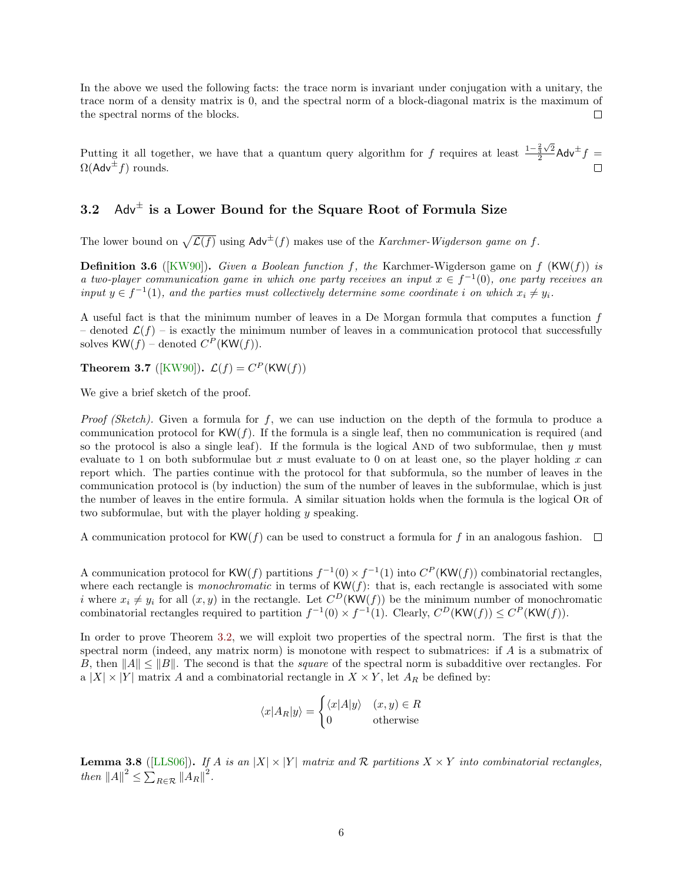In the above we used the following facts: the trace norm is invariant under conjugation with a unitary, the trace norm of a density matrix is 0, and the spectral norm of a block-diagonal matrix is the maximum of the spectral norms of the blocks.  $\Box$ 

Putting it all together, we have that a quantum query algorithm for f requires at least  $\frac{1-\frac{2}{3}\sqrt{2}}{2}$  $\frac{\frac{2}{3}\sqrt{2}}{2}$ Adv<sup> $\pm$ </sup>f =  $\Omega$ (Adv<sup> $\pm$ </sup> f) rounds.

### <span id="page-5-0"></span> $3.2$  Adv<sup> $\pm$ </sup> is a Lower Bound for the Square Root of Formula Size

The lower bound on  $\sqrt{\mathcal{L}(f)}$  using  $\mathsf{Adv}^{\pm}(f)$  makes use of the Karchmer-Wigderson game on f.

**Definition 3.6** ([\[KW90\]](#page-22-9)). Given a Boolean function f, the Karchmer-Wigderson game on f  $(KW(f))$  is a two-player communication game in which one party receives an input  $x \in f^{-1}(0)$ , one party receives an input  $y \in f^{-1}(1)$ , and the parties must collectively determine some coordinate i on which  $x_i \neq y_i$ .

A useful fact is that the minimum number of leaves in a De Morgan formula that computes a function  $f$ – denoted  $\mathcal{L}(f)$  – is exactly the minimum number of leaves in a communication protocol that successfully solves  $KW(f)$  – denoted  $C^P$ (KW $(f)$ ).

**Theorem 3.7** ([\[KW90\]](#page-22-9)).  $\mathcal{L}(f) = C^P(\text{KW}(f))$ 

We give a brief sketch of the proof.

*Proof (Sketch)*. Given a formula for  $f$ , we can use induction on the depth of the formula to produce a communication protocol for  $KW(f)$ . If the formula is a single leaf, then no communication is required (and so the protocol is also a single leaf). If the formula is the logical AND of two subformulae, then  $y$  must evaluate to 1 on both subformulae but x must evaluate to 0 on at least one, so the player holding x can report which. The parties continue with the protocol for that subformula, so the number of leaves in the communication protocol is (by induction) the sum of the number of leaves in the subformulae, which is just the number of leaves in the entire formula. A similar situation holds when the formula is the logical Or of two subformulae, but with the player holding y speaking.

A communication protocol for  $KW(f)$  can be used to construct a formula for f in an analogous fashion.  $\Box$ 

A communication protocol for KW(f) partitions  $f^{-1}(0) \times f^{-1}(1)$  into  $C^P$ (KW(f)) combinatorial rectangles, where each rectangle is *monochromatic* in terms of  $KW(f)$ : that is, each rectangle is associated with some i where  $x_i \neq y_i$  for all  $(x, y)$  in the rectangle. Let  $C^D(\text{KW}(f))$  be the minimum number of monochromatic combinatorial rectangles required to partition  $f^{-1}(0) \times f^{-1}(1)$ . Clearly,  $C^D(\text{KW}(f)) \leq C^P(\text{KW}(f))$ .

In order to prove Theorem [3.2,](#page-2-4) we will exploit two properties of the spectral norm. The first is that the spectral norm (indeed, any matrix norm) is monotone with respect to submatrices: if A is a submatrix of B, then  $||A|| \le ||B||$ . The second is that the *square* of the spectral norm is subadditive over rectangles. For a  $|X| \times |Y|$  matrix A and a combinatorial rectangle in  $X \times Y$ , let  $A_R$  be defined by:

$$
\langle x|A_R|y\rangle = \begin{cases} \langle x|A|y\rangle & (x,y) \in R\\ 0 & \text{otherwise} \end{cases}
$$

**Lemma 3.8** ([\[LLS06\]](#page-22-4)). If A is an  $|X| \times |Y|$  matrix and R partitions  $X \times Y$  into combinatorial rectangles, then  $||A||^2 \leq \sum_{R \in \mathcal{R}} ||A_R||^2$ .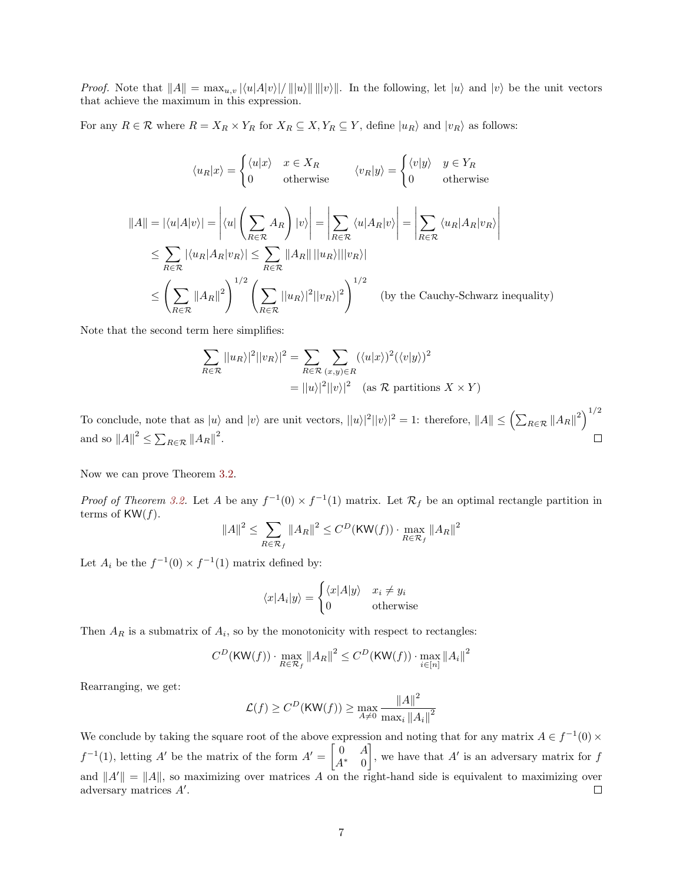*Proof.* Note that  $||A|| = \max_{u,v} |\langle u|A|v\rangle| / ||u\rangle|| ||v\rangle||$ . In the following, let  $|u\rangle$  and  $|v\rangle$  be the unit vectors that achieve the maximum in this expression.

For any  $R \in \mathcal{R}$  where  $R = X_R \times Y_R$  for  $X_R \subseteq X, Y_R \subseteq Y$ , define  $|u_R\rangle$  and  $|v_R\rangle$  as follows:

$$
\langle u_R | x \rangle = \begin{cases} \langle u | x \rangle & x \in X_R \\ 0 & \text{otherwise} \end{cases} \quad \langle v_R | y \rangle = \begin{cases} \langle v | y \rangle & y \in Y_R \\ 0 & \text{otherwise} \end{cases}
$$
  

$$
||A|| = |\langle u | A | v \rangle| = \left| \langle u | \left( \sum_{R \in \mathcal{R}} A_R \right) | v \rangle \right| = \left| \sum_{R \in \mathcal{R}} \langle u | A_R | v \rangle \right| = \left| \sum_{R \in \mathcal{R}} \langle u_R | A_R | v_R \rangle \right|
$$
  

$$
\leq \sum_{R \in \mathcal{R}} |\langle u_R | A_R | v_R \rangle| \leq \sum_{R \in \mathcal{R}} ||A_R|| ||u_R \rangle |||v_R \rangle|
$$
  

$$
\leq \left( \sum_{R \in \mathcal{R}} ||A_R||^2 \right)^{1/2} \left( \sum_{R \in \mathcal{R}} ||u_R \rangle|^2 ||v_R \rangle|^2 \right)^{1/2} \quad \text{(by the Cauchy-Schwarz inequality)}
$$

Note that the second term here simplifies:

$$
\sum_{R \in \mathcal{R}} ||u_R||^2 ||v_R||^2 = \sum_{R \in \mathcal{R}} \sum_{(x,y) \in R} (\langle u|x \rangle)^2 (\langle v|y \rangle)^2
$$

$$
= ||u||^2 ||v||^2 \quad \text{(as } \mathcal{R} \text{ partitions } X \times Y)
$$

To conclude, note that as  $|u\rangle$  and  $|v\rangle$  are unit vectors,  $||u\rangle^2||v\rangle|^2 = 1$ : therefore,  $||A|| \leq (\sum_{R \in \mathcal{R}} ||A_R||^2)^{1/2}$ and so  $||A||^2 \leq \sum_{R \in \mathcal{R}} ||A_R||^2$ .  $\Box$ 

Now we can prove Theorem [3.2.](#page-2-4)

Proof of Theorem [3.2.](#page-2-4) Let A be any  $f^{-1}(0) \times f^{-1}(1)$  matrix. Let  $\mathcal{R}_f$  be an optimal rectangle partition in terms of  $KW(f)$ .

$$
||A||^2 \le \sum_{R \in \mathcal{R}_f} ||A_R||^2 \le C^D(\text{KW}(f)) \cdot \max_{R \in \mathcal{R}_f} ||A_R||^2
$$

Let  $A_i$  be the  $f^{-1}(0) \times f^{-1}(1)$  matrix defined by:

$$
\langle x|A_i|y\rangle = \begin{cases} \langle x|A|y\rangle & x_i \neq y_i \\ 0 & \text{otherwise} \end{cases}
$$

Then  $A_R$  is a submatrix of  $A_i$ , so by the monotonicity with respect to rectangles:

$$
C^{D}(\text{KW}(f)) \cdot \max_{R \in \mathcal{R}_f} \|A_R\|^2 \le C^D(\text{KW}(f)) \cdot \max_{i \in [n]} \|A_i\|^2
$$

Rearranging, we get:

$$
\mathcal{L}(f) \ge C^D(\text{KW}(f)) \ge \max_{A \neq 0} \frac{\|A\|^2}{\max_i \|A_i\|^2}
$$

We conclude by taking the square root of the above expression and noting that for any matrix  $A \in f^{-1}(0) \times$  $f^{-1}(1)$ , letting A' be the matrix of the form  $A' = \begin{bmatrix} 0 & A \\ A^* & 0 \end{bmatrix}$ , we have that  $A'$  is an adversary matrix for  $f$  $A^*$  0 and  $||A'|| = ||A||$ , so maximizing over matrices A on the right-hand side is equivalent to maximizing over adversary matrices  $A'$ .  $\Box$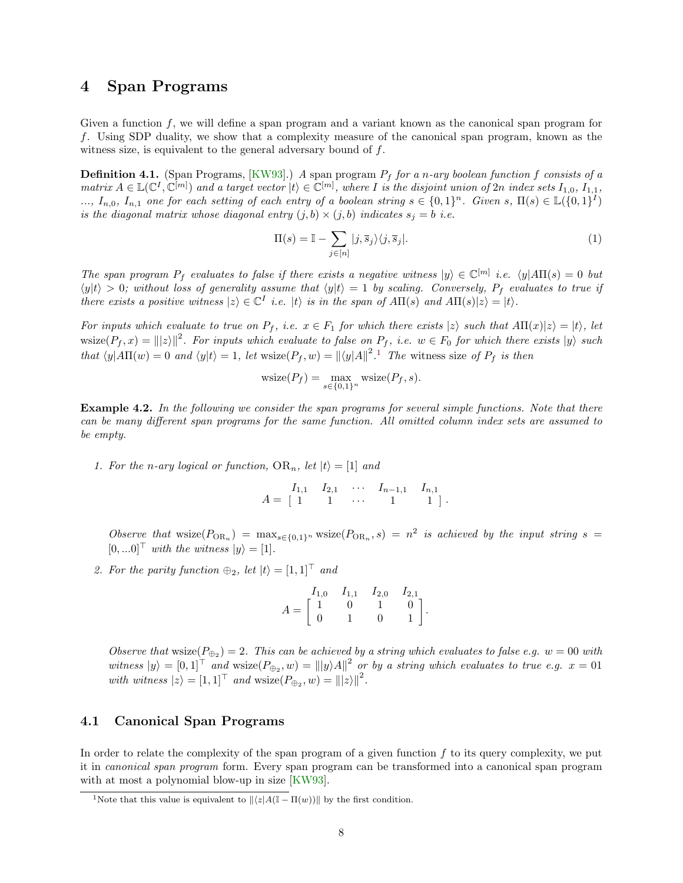#### <span id="page-7-0"></span>4 Span Programs

Given a function  $f$ , we will define a span program and a variant known as the canonical span program for f. Using SDP duality, we show that a complexity measure of the canonical span program, known as the witness size, is equivalent to the general adversary bound of f.

**Definition 4.1.** (Span Programs,  $[KW93]$ .) A span program  $P_f$  for a n-ary boolean function f consists of a matrix  $A \in \mathbb{L}(\mathbb{C}^I, \mathbb{C}^{[m]})$  and a target vector  $|t\rangle \in \mathbb{C}^{[m]}$ , where I is the disjoint union of  $2n$  index sets  $I_{1,0}, I_{1,1}$ ,  $\ldots, I_{n,0}, I_{n,1}$  one for each setting of each entry of a boolean string  $s \in \{0,1\}^n$ . Given  $s, \Pi(s) \in \mathbb{L}(\{0,1\}^T)$ is the diagonal matrix whose diagonal entry  $(j, b) \times (j, b)$  indicates  $s_j = b$  i.e.

<span id="page-7-3"></span>
$$
\Pi(s) = \mathbb{I} - \sum_{j \in [n]} |j, \overline{s}_j\rangle\langle j, \overline{s}_j|.
$$
\n(1)

The span program  $P_f$  evaluates to false if there exists a negative witness  $|y\rangle \in \mathbb{C}^{[m]}$  i.e.  $\langle y|A\Pi(s) = 0$  but  $\langle y|t \rangle > 0$ ; without loss of generality assume that  $\langle y|t \rangle = 1$  by scaling. Conversely,  $P_f$  evaluates to true if there exists a positive witness  $|z\rangle \in \mathbb{C}^I$  i.e.  $|t\rangle$  is in the span of  $A\Pi(s)$  and  $A\Pi(s)|z\rangle = |t\rangle$ .

For inputs which evaluate to true on  $P_f$ , i.e.  $x \in F_1$  for which there exists  $|z\rangle$  such that  $A\Pi(x)|z\rangle = |t\rangle$ , let  $\text{wsize}(P_f, x) = ||z||^2$ . For inputs which evaluate to false on  $P_f$ , i.e.  $w \in F_0$  for which there exists  $|y\rangle$  such that  $\langle y|A\Pi(w) = 0$  and  $\langle y|t \rangle = 1$  $\langle y|t \rangle = 1$ , let wsize $(P_f, w) = ||\langle y|A||^2$ . The witness size of  $P_f$  is then

$$
\text{wsize}(P_f) = \max_{s \in \{0,1\}^n} \text{wsize}(P_f, s).
$$

**Example 4.2.** In the following we consider the span programs for several simple functions. Note that there can be many different span programs for the same function. All omitted column index sets are assumed to be empty.

1. For the n-ary logical or function,  $OR_n$ , let  $|t\rangle = [1]$  and

$$
A = \begin{bmatrix} I_{1,1} & I_{2,1} & \cdots & I_{n-1,1} & I_{n,1} \\ 1 & 1 & \cdots & 1 & 1 \end{bmatrix}.
$$

Observe that wsize( $P_{OR_n}$ ) =  $\max_{s \in \{0,1\}^n}$  wsize( $P_{OR_n}, s$ ) =  $n^2$  is achieved by the input string s =  $[0, ...0]^\top$  with the witness  $|y\rangle = [1]$ .

2. For the parity function  $\oplus_2$ , let  $|t\rangle = [1,1]^\top$  and

$$
A = \begin{bmatrix} I_{1,0} & I_{1,1} & I_{2,0} & I_{2,1} \\ 1 & 0 & 1 & 0 \\ 0 & 1 & 0 & 1 \end{bmatrix}.
$$

Observe that wsize  $(P_{\oplus_2}) = 2$ . This can be achieved by a string which evaluates to false e.g.  $w = 00$  with witness  $|y\rangle = [0,1]^\top$  and  $\text{wsize}(P_{\bigoplus_2}, w) = |||y\rangle A||^2$  or by a string which evaluates to true e.g.  $x = 01$ with witness  $|z\rangle = [1, 1]^{\top}$  and wsize $(P_{\oplus_2}, w) = |||z\rangle||^2$ .

#### <span id="page-7-1"></span>4.1 Canonical Span Programs

In order to relate the complexity of the span program of a given function  $f$  to its query complexity, we put it in canonical span program form. Every span program can be transformed into a canonical span program with at most a polynomial blow-up in size [\[KW93\]](#page-22-7).

<span id="page-7-2"></span><sup>&</sup>lt;sup>1</sup>Note that this value is equivalent to  $\|z|A(\mathbb{I} - \Pi(w))\|$  by the first condition.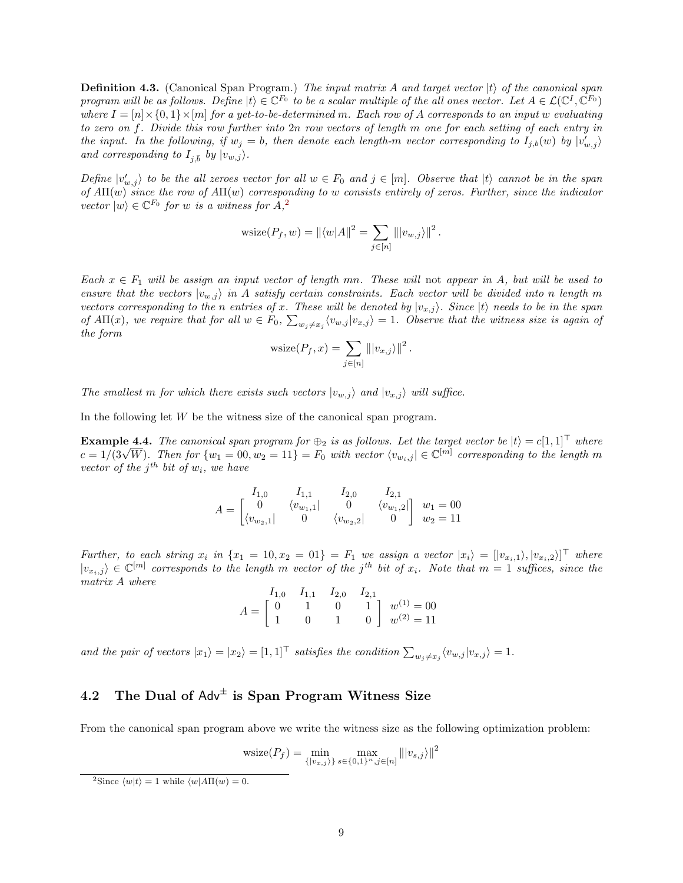**Definition 4.3.** (Canonical Span Program.) The input matrix A and target vector  $|t\rangle$  of the canonical span program will be as follows. Define  $|t\rangle \in \mathbb{C}^{F_0}$  to be a scalar multiple of the all ones vector. Let  $A \in \mathcal{L}(\mathbb{C}^I, \mathbb{C}^{F_0})$ where  $I = [n] \times \{0,1\} \times [m]$  for a yet-to-be-determined m. Each row of A corresponds to an input w evaluating to zero on f. Divide this row further into 2n row vectors of length m one for each setting of each entry in the input. In the following, if  $w_j = b$ , then denote each length-m vector corresponding to  $I_{j,b}(w)$  by  $|v'_{w,j}\rangle$ and corresponding to  $I_{j,\overline{b}}$  by  $|v_{w,j}\rangle$ .

Define  $|v'_{w,j}\rangle$  to be the all zeroes vector for all  $w \in F_0$  and  $j \in [m]$ . Observe that  $|t\rangle$  cannot be in the span of  $A\Pi(w)$  since the row of  $A\Pi(w)$  corresponding to w consists entirely of zeros. Further, since the indicator vector  $|w\rangle \in \mathbb{C}^{F_0}$  for w is a witness for  $A$ ,<sup>[2](#page-8-1)</sup>

$$
\text{wsize}(P_f, w) = ||\langle w|A||^2 = \sum_{j \in [n]} |||v_{w,j}\rangle||^2.
$$

Each  $x \in F_1$  will be assign an input vector of length mn. These will not appear in A, but will be used to ensure that the vectors  $|v_{w,j}\rangle$  in A satisfy certain constraints. Each vector will be divided into n length m vectors corresponding to the n entries of x. These will be denoted by  $|v_{x,j}\rangle$ . Since  $|t\rangle$  needs to be in the span of  $A\Pi(x)$ , we require that for all  $w \in F_0$ ,  $\sum_{w_j\neq x_j}\langle v_{w,j}|v_{x,j}\rangle = 1$ . Observe that the witness size is again of the form

$$
\text{wsize}(P_f, x) = \sum_{j \in [n]} |||v_{x,j}\rangle||^2.
$$

The smallest m for which there exists such vectors  $|v_{w,j}\rangle$  and  $|v_{x,j}\rangle$  will suffice.

In the following let  $W$  be the witness size of the canonical span program.

<span id="page-8-2"></span>**Example 4.4.** The canonical span program for  $\oplus_2$  is as follows. Let the target vector be  $|t\rangle = c[1,1]^T$  where **Example 4.4.** The canonical span program for  $\bigoplus_2$  is as follows. Let the target vector be  $|t\rangle = c[1,1]$  where  $c = 1/(3\sqrt{W})$ . Then for  $\{w_1 = 00, w_2 = 11\} = F_0$  with vector  $\langle w_{w_i,j} | \in \mathbb{C}^{[m]}$  corresponding to the vector of the  $j<sup>th</sup>$  bit of  $w<sub>i</sub>$ , we have

$$
A = \begin{bmatrix} I_{1,0} & I_{1,1} & I_{2,0} & I_{2,1} \\ 0 & \langle v_{w_1,1} | & 0 & \langle v_{w_1,2} | \\ \langle v_{w_2,1} | & 0 & \langle v_{w_2,2} | & 0 \end{bmatrix} \begin{bmatrix} w_1 = 00 \\ w_2 = 11 \end{bmatrix}
$$

Further, to each string  $x_i$  in  $\{x_1 = 10, x_2 = 01\} = F_1$  we assign a vector  $|x_i\rangle = [|v_{x_i,1}\rangle, |v_{x_i,2}\rangle]^T$  where  $|v_{x_i,j}\rangle \in \mathbb{C}^{[m]}$  corresponds to the length m vector of the j<sup>th</sup> bit of  $x_i$ . Note that  $m=1$  suffices, since the matrix A where

$$
A = \begin{bmatrix} I_{1,0} & I_{1,1} & I_{2,0} & I_{2,1} \\ 0 & 1 & 0 & 1 \\ 1 & 0 & 1 & 0 \end{bmatrix} \begin{array}{l} w^{(1)} = 00 \\ w^{(2)} = 11 \end{array}
$$

and the pair of vectors  $|x_1\rangle = |x_2\rangle = [1,1]^{\top}$  satisfies the condition  $\sum_{w_j \neq x_j} \langle v_{w,j} | v_{x,j} \rangle = 1$ .

### <span id="page-8-0"></span>4.2  $\,$  The Dual of Adv $^{\pm}$  is Span Program Witness Size

From the canonical span program above we write the witness size as the following optimization problem:

$$
\text{wsize}(P_f) = \min_{\{|v_{x,j}\rangle\}} \max_{s \in \{0,1\}^n, j \in [n]} \| |v_{s,j}\rangle \|^2
$$

<span id="page-8-1"></span><sup>&</sup>lt;sup>2</sup>Since  $\langle w|t \rangle = 1$  while  $\langle w|A\Pi(w) = 0$ .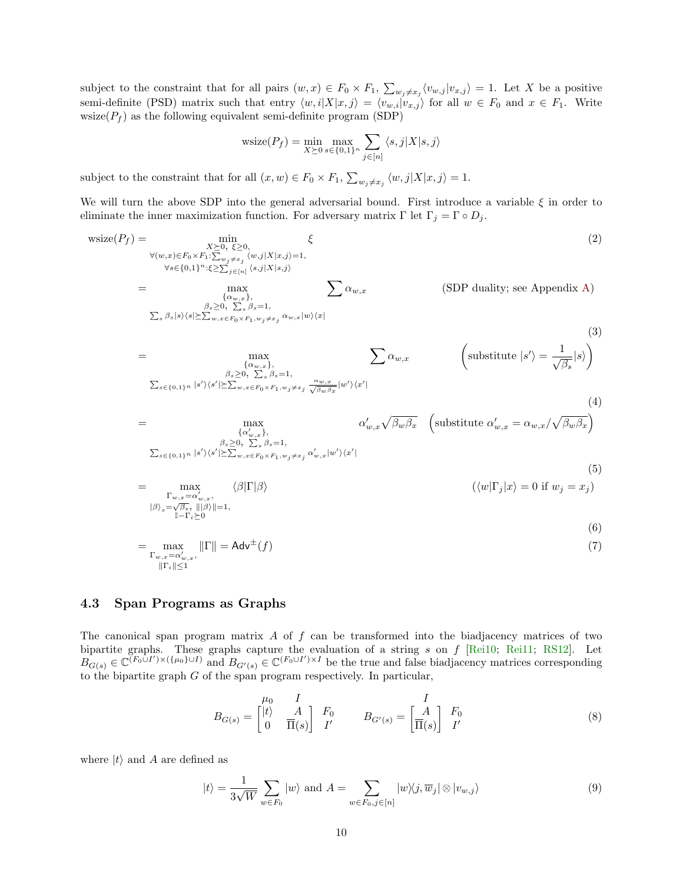subject to the constraint that for all pairs  $(w, x) \in F_0 \times F_1$ ,  $\sum_{w_j \neq x_j} \langle v_{w,j} | v_{x,j} \rangle = 1$ . Let X be a positive semi-definite (PSD) matrix such that entry  $\langle w, i|X|x, j \rangle = \langle v_{w,i}|v_{x,j} \rangle$  for all  $w \in F_0$  and  $x \in F_1$ . Write wsize( $P_f$ ) as the following equivalent semi-definite program (SDP)

$$
\text{wsize}(P_f) = \min_{X \succeq 0} \max_{s \in \{0,1\}^n} \sum_{j \in [n]} \langle s, j | X | s, j \rangle
$$

subject to the constraint that for all  $(x, w) \in F_0 \times F_1$ ,  $\sum_{w_j \neq x_j} \langle w, j | X | x, j \rangle = 1$ .

We will turn the above SDP into the general adversarial bound. First introduce a variable  $\xi$  in order to eliminate the inner maximization function. For adversary matrix  $\Gamma$  let  $\Gamma_j = \Gamma \circ D_j$ .

$$
\text{wsize}(P_f) = \sum_{\substack{\forall (w,x) \in F_0 \times F_1 : \sum_{w_j \neq x_j} (w,j) \mid X | x,j \rangle = 1, \\ \forall s \in \{0,1\}^n : \xi \geq \sum_{j \in [n]} (s,j) \mid X | s,j \rangle}} \xi
$$
\n
$$
= \max_{\substack{\beta_{\alpha} \geq 0, \\ \sum_{\beta} \beta_{\beta} \mid s \rangle \langle s| \geq \sum_{w,x \in F_0 \times F_1, w_j \neq x_j} \alpha_{w,x} | w \rangle \langle x |}} \xi
$$
\n
$$
= \max_{\substack{\beta_{\alpha} \geq 0, \\ \sum_{\beta} \beta_{\beta} = 1, \\ \sum_{\delta \in \{0,1\}^n} |\delta' \rangle \langle s' | \geq \sum_{w,x \in F_0 \times F_1, w_j \neq x_j} \alpha_{w,x} | w \rangle \langle x |}} \xi
$$
\n
$$
= \max_{\substack{\alpha_{w,x} \geq 0, \\ \alpha_{w,x} \geq 0, \\ \sum_{\beta \geq 0, \\ \sum_{\beta} \beta_{\beta} = 1, \\ \sum_{\beta \in \{0,1\}^n} |\delta' \rangle \langle s' | \geq \sum_{w,x \in F_0 \times F_1, w_j \neq x_j} \frac{\alpha_{w,x}}{\sqrt{\beta_w \beta_x}} | w' \rangle \langle x' |}} \xi
$$
\n
$$
= \max_{\substack{\alpha'_{w,x} \geq 0, \\ \sum_{\beta \geq 0, \\ \sum_{\beta} \beta_{\beta} = 1, \\ \sum_{\beta \in \{0,1\}^n} |\delta' \rangle \langle s' | \geq \sum_{w,x \in F_0 \times F_1, w_j \neq x_j} \alpha'_{w,x} | w' \rangle \langle x' |}} \xi
$$
\n
$$
= \max_{\substack{\beta_{\alpha} \geq 0, \\ \sum_{\beta} \beta_{\beta} = 1, \\ |\beta_{\beta} = \sqrt{\beta_{\alpha}}, \|\beta_{\beta}| = 1, \\ |\beta_{\beta} = \sqrt{\beta_{\alpha}}, \|\beta_{\beta}| = 1, \\ |\beta_{\beta} = \sqrt{\beta_{\alpha}}, \|\beta_{\beta}| = 1, \\ |\beta_{\beta} = \sqrt{\beta_{\alpha}}, \|\beta_{\beta}| =
$$

 $\|\Gamma_i\|\leq 1$ 

#### <span id="page-9-0"></span>4.3 Span Programs as Graphs

The canonical span program matrix  $A$  of  $f$  can be transformed into the biadjacency matrices of two bipartite graphs. These graphs capture the evaluation of a string s on  $f$  [\[Rei10;](#page-22-10) [Rei11;](#page-22-6) [RS12\]](#page-22-11). Let  $B_{G(s)} \in \mathbb{C}^{(F_0 \cup I') \times (\{\mu_0\} \cup I)}$  and  $B_{G'(s)} \in \mathbb{C}^{(F_0 \cup I') \times I}$  be the true and false biadjacency matrices corresponding to the bipartite graph  $G$  of the span program respectively. In particular,

<span id="page-9-2"></span>
$$
B_{G(s)} = \begin{bmatrix} \mu_0 & I \\ \n\begin{bmatrix} t \end{bmatrix} & A \\ \n0 & \overline{\Pi}(s) \end{bmatrix} & F_0 \qquad B_{G'(s)} = \begin{bmatrix} I \\ \overline{\Pi}(s) \end{bmatrix} & F_0 \\ I' \qquad (8)
$$

where  $|t\rangle$  and A are defined as

<span id="page-9-1"></span>
$$
|t\rangle = \frac{1}{3\sqrt{W}} \sum_{w \in F_0} |w\rangle \text{ and } A = \sum_{w \in F_0, j \in [n]} |w\rangle\langle j, \overline{w}_j| \otimes |v_{w,j}\rangle \tag{9}
$$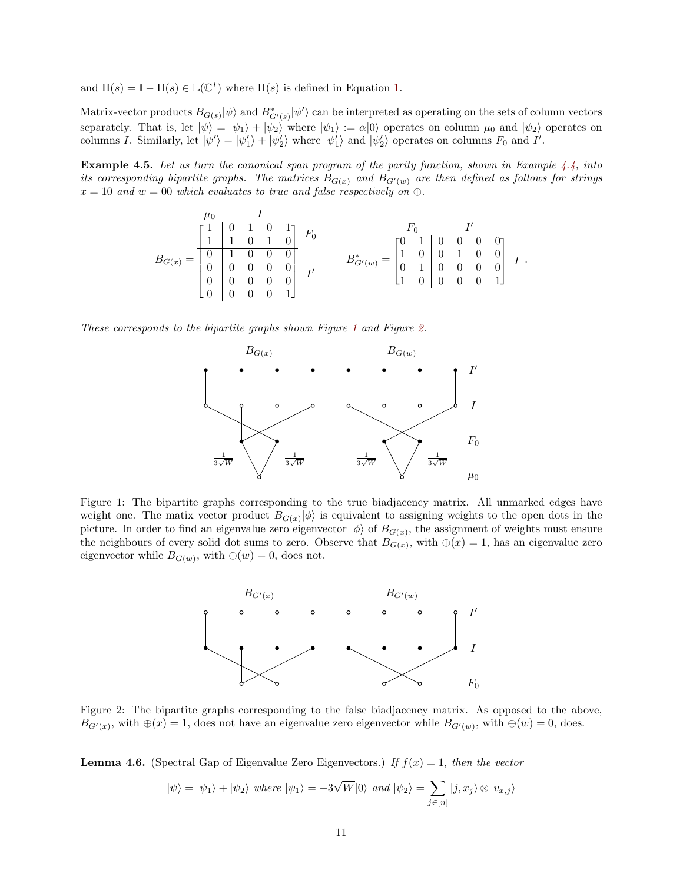and  $\overline{\Pi}(s) = \mathbb{I} - \Pi(s) \in \mathbb{L}(\mathbb{C}^{I})$  where  $\Pi(s)$  is defined in Equation [1.](#page-7-3)

Matrix-vector products  $B_{G(s)}|\psi\rangle$  and  $B_{G'(s)}^*|\psi'\rangle$  can be interpreted as operating on the sets of column vectors separately. That is, let  $|\psi\rangle = |\psi_1\rangle + |\psi_2\rangle$  where  $|\psi_1\rangle := \alpha |0\rangle$  operates on column  $\mu_0$  and  $|\psi_2\rangle$  operates on columns I. Similarly, let  $|\psi'\rangle = |\psi'_1\rangle + |\psi'_2\rangle$  where  $|\psi'_1\rangle$  and  $|\psi'_2\rangle$  operates on columns  $F_0$  and I'.

Example 4.5. Let us turn the canonical span program of the parity function, shown in Example [4.4,](#page-8-2) into its corresponding bipartite graphs. The matrices  $B_{G(x)}$  and  $B_{G'(w)}$  are then defined as follows for strings  $x = 10$  and  $w = 00$  which evaluates to true and false respectively on  $\oplus$ .

$$
B_{G(x)} = \begin{bmatrix} \begin{matrix} 1 & 0 & 1 & 0 & 1 \\ 1 & 1 & 0 & 1 & 0 \\ 0 & 1 & 0 & 0 & 0 \\ 0 & 0 & 0 & 0 & 0 \\ 0 & 0 & 0 & 0 & 0 \\ 0 & 0 & 0 & 0 & 1 \end{matrix} & I' & \qquad \qquad B^*_{G'(w)} = \begin{bmatrix} F_0 & & & I' \\ 1 & 0 & 0 & 0 & 0 \\ 1 & 0 & 0 & 1 & 0 & 0 \\ 0 & 1 & 0 & 0 & 0 & 0 \\ 1 & 0 & 0 & 0 & 0 & 1 \end{bmatrix} & I \; .
$$

These corresponds to the bipartite graphs shown Figure [1](#page-10-0) and Figure [2.](#page-10-1)



<span id="page-10-0"></span>Figure 1: The bipartite graphs corresponding to the true biadjacency matrix. All unmarked edges have weight one. The matix vector product  $B_{G(x)}|\phi\rangle$  is equivalent to assigning weights to the open dots in the picture. In order to find an eigenvalue zero eigenvector  $|\phi\rangle$  of  $B_{G(x)}$ , the assignment of weights must ensure the neighbours of every solid dot sums to zero. Observe that  $B_{G(x)}$ , with  $\oplus(x) = 1$ , has an eigenvalue zero eigenvector while  $B_{G(w)}$ , with  $\oplus(w) = 0$ , does not.



<span id="page-10-1"></span>Figure 2: The bipartite graphs corresponding to the false biadjacency matrix. As opposed to the above,  $B_{G'(x)}$ , with  $\oplus(x) = 1$ , does not have an eigenvalue zero eigenvector while  $B_{G'(w)}$ , with  $\oplus(w) = 0$ , does.

<span id="page-10-2"></span>**Lemma 4.6.** (Spectral Gap of Eigenvalue Zero Eigenvectors.) If  $f(x) = 1$ , then the vector

$$
|\psi\rangle = |\psi_1\rangle + |\psi_2\rangle
$$
 where  $|\psi_1\rangle = -3\sqrt{W}|0\rangle$  and  $|\psi_2\rangle = \sum_{j \in [n]} |j, x_j\rangle \otimes |v_{x,j}\rangle$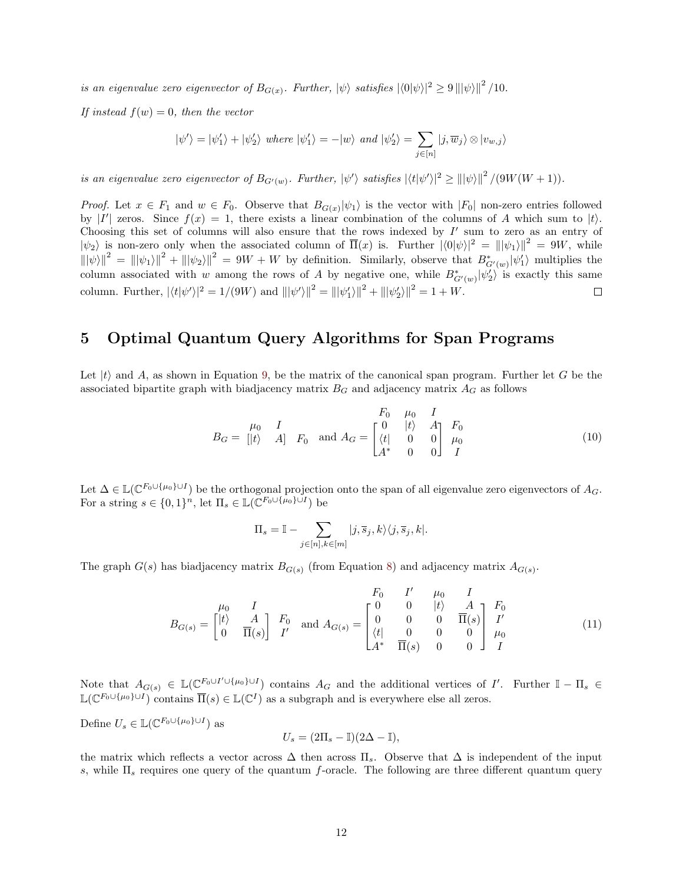is an eigenvalue zero eigenvector of  $B_{G(x)}$ . Further,  $|\psi\rangle$  satisfies  $|\langle 0|\psi\rangle|^2 \geq 9 |||\psi\rangle||^2 / 10$ .

If instead  $f(w) = 0$ , then the vector

$$
|\psi'\rangle=|\psi'_1\rangle+|\psi'_2\rangle \ where \ |\psi'_1\rangle=-|w\rangle \ and \ |\psi'_2\rangle=\sum_{j\in[n]}|j,\overline{w}_j\rangle\otimes|v_{w,j}\rangle
$$

is an eigenvalue zero eigenvector of  $B_{G'(w)}$ . Further,  $|\psi'\rangle$  satisfies  $|\langle t|\psi'\rangle|^2 \ge |||\psi\rangle||^2 / (9W(W+1)).$ 

*Proof.* Let  $x \in F_1$  and  $w \in F_0$ . Observe that  $B_{G(x)}|\psi_1\rangle$  is the vector with  $|F_0|$  non-zero entries followed by |I' zeros. Since  $f(x) = 1$ , there exists a linear combination of the columns of A which sum to |t}. Choosing this set of columns will also ensure that the rows indexed by  $I'$  sum to zero as an entry of  $|\psi_2\rangle$  is non-zero only when the associated column of  $\overline{\Pi}(x)$  is. Further  $|\langle 0|\psi\rangle|^2 = |||\psi_1\rangle||^2 = 9W$ , while  $\|\psi\|^2 = \| |\psi_1\rangle|^2 + \| |\psi_2\rangle|^2 = 9W + W$  by definition. Similarly, observe that  $B^*_{G'(w)}|\psi_1\rangle$  multiplies the column associated with w among the rows of A by negative one, while  $B^*_{G'(w)}|\psi_2\rangle$  is exactly this same column. Further,  $|\langle t | \psi' \rangle|^2 = 1/(9W)$  and  $|||\psi'\rangle||^2 = |||\psi'_1\rangle||^2 + |||\psi'_2\rangle||^2 = 1 + W$ .  $\Box$ 

### <span id="page-11-0"></span>5 Optimal Quantum Query Algorithms for Span Programs

Let  $|t\rangle$  and A, as shown in Equation [9,](#page-9-1) be the matrix of the canonical span program. Further let G be the associated bipartite graph with biadjacency matrix  $B<sub>G</sub>$  and adjacency matrix  $A<sub>G</sub>$  as follows

<span id="page-11-1"></span>
$$
B_G = \begin{bmatrix} \mu_0 & I \\ |t\rangle & A \end{bmatrix} \quad F_0 \quad \text{and} \quad A_G = \begin{bmatrix} F_0 & \mu_0 & I \\ 0 & |t\rangle & A \\ A^* & 0 & 0 \end{bmatrix} \quad \begin{matrix} F_0 \\ \mu_0 \\ \mu_0 \end{matrix} \tag{10}
$$

Let  $\Delta \in \mathbb{L}(\mathbb{C}^{F_0 \cup \{\mu_0\} \cup I})$  be the orthogonal projection onto the span of all eigenvalue zero eigenvectors of  $A_G$ . For a string  $s \in \{0,1\}^n$ , let  $\Pi_s \in \mathbb{L}(\mathbb{C}^{F_0 \cup \{\mu_0\} \cup I})$  be

$$
\Pi_s = \mathbb{I} - \sum_{j \in [n], k \in [m]} |j, \overline{s}_j, k\rangle \langle j, \overline{s}_j, k|.
$$

The graph  $G(s)$  has biadjacency matrix  $B_{G(s)}$  (from Equation [8\)](#page-9-2) and adjacency matrix  $A_{G(s)}$ .

<span id="page-11-2"></span>
$$
B_{G(s)} = \begin{bmatrix} \mu_0 & I & & F_0 & I' & \mu_0 & I \\ \lvert t \rvert & A & A \\ 0 & \overline{\Pi}(s) & I' & \end{bmatrix} \begin{bmatrix} F_0 & I' & \mu_0 & I \\ \n\Gamma_0 & 0 & \lvert t \rvert & A \\ \n\Gamma_0 & 0 & 0 & \overline{\Pi}(s) \\ \n\Gamma_0 & 0 & 0 & 0 \\ \n\Gamma_1 & 0 & 0 & 0 \end{bmatrix} \begin{bmatrix} F_0 & I' & \mu_0 & I \\ \n\Gamma_0 & 0 & 0 & \overline{\Pi}(s) \\ \n\Gamma_0 & 0 & 0 & I \end{bmatrix} \tag{11}
$$

Note that  $A_{G(s)} \in \mathbb{L}(\mathbb{C}^{F_0 \cup I' \cup \{\mu_0\} \cup I})$  contains  $A_G$  and the additional vertices of I'. Further  $\mathbb{I} - \Pi_s \in$  $\mathbb{L}(\mathbb{C}^{F_0\cup\{\mu_0\}\cup I})$  contains  $\overline{\Pi}(s) \in \mathbb{L}(\mathbb{C}^I)$  as a subgraph and is everywhere else all zeros.

Define  $U_s \in \mathbb{L}(\mathbb{C}^{F_0 \cup \{\mu_0\} \cup I})$  as

$$
U_s = (2\Pi_s - \mathbb{I})(2\Delta - \mathbb{I}),
$$

the matrix which reflects a vector across  $\Delta$  then across  $\Pi_s$ . Observe that  $\Delta$  is independent of the input s, while  $\Pi_s$  requires one query of the quantum f-oracle. The following are three different quantum query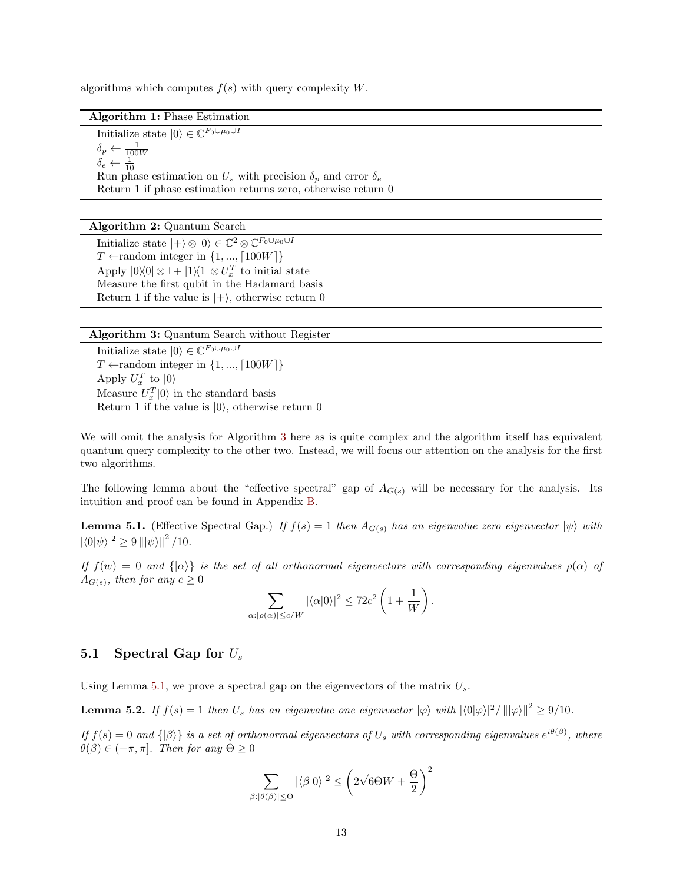algorithms which computes  $f(s)$  with query complexity W.

Algorithm 1: Phase Estimation

<span id="page-12-4"></span>Initialize state  $|0\rangle \in \mathbb{C}^{F_0 \cup \mu_0 \cup I}$  $\delta_p \leftarrow \frac{1}{100W}$  $\delta_e \leftarrow \frac{1}{10}$ Run phase estimation on  $U_s$  with precision  $\delta_p$  and error  $\delta_e$ Return 1 if phase estimation returns zero, otherwise return 0

#### Algorithm 2: Quantum Search

<span id="page-12-5"></span>Initialize state  $|+\rangle \otimes |0\rangle \in \mathbb{C}^2 \otimes \mathbb{C}^{F_0 \cup \mu_0 \cup I}$  $T \leftarrow$ random integer in  $\{1, ..., \lceil 100W \rceil\}$ Apply  $|0\rangle\langle 0| \otimes \mathbb{I} + |1\rangle\langle 1| \otimes U_x^T$  to initial state Measure the first qubit in the Hadamard basis Return 1 if the value is  $|+\rangle$ , otherwise return 0

| Algorithm 3: Quantum Search without Register |  |  |  |  |  |
|----------------------------------------------|--|--|--|--|--|
|----------------------------------------------|--|--|--|--|--|

<span id="page-12-1"></span>Initialize state  $|0\rangle \in \mathbb{C}^{F_0 \cup \mu_0 \cup I}$  $T \leftarrow$ random integer in  $\{1, ..., [100W]\}$ Apply  $U_x^T$  to  $|0\rangle$ Measure  $U_x^T|0\rangle$  in the standard basis Return 1 if the value is  $|0\rangle$ , otherwise return 0

We will omit the analysis for Algorithm [3](#page-12-1) here as is quite complex and the algorithm itself has equivalent quantum query complexity to the other two. Instead, we will focus our attention on the analysis for the first two algorithms.

The following lemma about the "effective spectral" gap of  $A_{G(s)}$  will be necessary for the analysis. Its intuition and proof can be found in Appendix [B.](#page-19-0)

<span id="page-12-2"></span>**Lemma 5.1.** (Effective Spectral Gap.) If  $f(s) = 1$  then  $A_{G(s)}$  has an eigenvalue zero eigenvector  $|\psi\rangle$  with  $|\langle 0|\psi\rangle|^2 \geq 9 \left\| |\psi\rangle|^2 / 10.$ 

If  $f(w) = 0$  and  $\{|\alpha\rangle\}$  is the set of all orthonormal eigenvectors with corresponding eigenvalues  $\rho(\alpha)$  of  $A_{G(s)}$ , then for any  $c \geq 0$ 

$$
\sum_{\alpha: |\rho(\alpha)| \le c/W} |\langle \alpha | 0 \rangle|^2 \le 72c^2 \left(1 + \frac{1}{W}\right).
$$

#### <span id="page-12-0"></span>5.1 Spectral Gap for  $U_s$

Using Lemma [5.1,](#page-12-2) we prove a spectral gap on the eigenvectors of the matrix  $U_s$ .

<span id="page-12-3"></span>**Lemma 5.2.** If  $f(s) = 1$  then  $U_s$  has an eigenvalue one eigenvector  $|\varphi\rangle$  with  $|\langle 0|\varphi\rangle|^2 / |||\varphi\rangle||^2 \ge 9/10$ .

If  $f(s) = 0$  and  $\{|\beta\rangle\}$  is a set of orthonormal eigenvectors of  $U_s$  with corresponding eigenvalues  $e^{i\theta(\beta)}$ , where  $\theta(\beta) \in (-\pi, \pi]$ . Then for any  $\Theta \geq 0$ 

$$
\sum_{\beta:|\theta(\beta)|\leq\Theta}|\langle\beta|0\rangle|^2\leq \left(2\sqrt{6\Theta W}+\frac{\Theta}{2}\right)^2
$$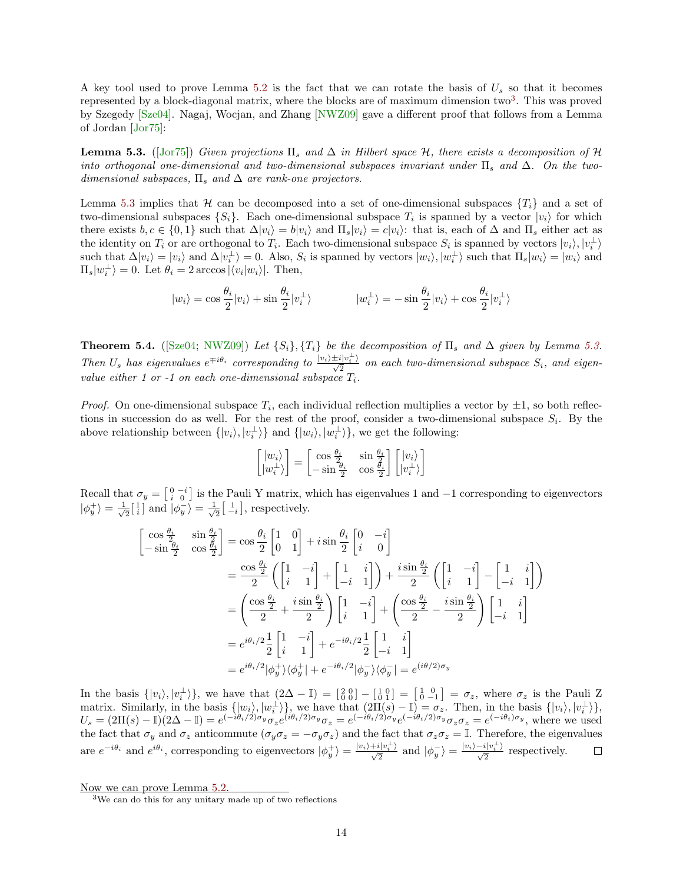A key tool used to prove Lemma [5.2](#page-12-3) is the fact that we can rotate the basis of  $U_s$  so that it becomes represented by a block-diagonal matrix, where the blocks are of maximum dimension two<sup>[3](#page-13-0)</sup>. This was proved by Szegedy [\[Sze04\]](#page-22-12). Nagaj, Wocjan, and Zhang [\[NWZ09\]](#page-22-13) gave a different proof that follows from a Lemma of Jordan [\[Jor75\]](#page-22-14):

<span id="page-13-1"></span>**Lemma 5.3.** ([\[Jor75\]](#page-22-14)) Given projections  $\Pi_s$  and  $\Delta$  in Hilbert space  $\mathcal{H}$ , there exists a decomposition of  $\mathcal{H}$ into orthogonal one-dimensional and two-dimensional subspaces invariant under  $\Pi_s$  and  $\Delta$ . On the twodimensional subspaces,  $\Pi_s$  and  $\Delta$  are rank-one projectors.

Lemma [5.3](#page-13-1) implies that  $\mathcal H$  can be decomposed into a set of one-dimensional subspaces  $\{T_i\}$  and a set of two-dimensional subspaces  $\{S_i\}$ . Each one-dimensional subspace  $T_i$  is spanned by a vector  $|v_i\rangle$  for which there exists  $b, c \in \{0,1\}$  such that  $\Delta |v_i\rangle = b|v_i\rangle$  and  $\Pi_s|v_i\rangle = c|v_i\rangle$ : that is, each of  $\Delta$  and  $\Pi_s$  either act as the identity on  $T_i$  or are orthogonal to  $T_i$ . Each two-dimensional subspace  $S_i$  is spanned by vectors  $|v_i\rangle, |v_i^{\perp}\rangle$ such that  $\Delta |v_i\rangle = |v_i\rangle$  and  $\Delta |v_i^{\perp}\rangle = 0$ . Also,  $S_i$  is spanned by vectors  $|w_i\rangle, |w_i^{\perp}\rangle$  such that  $\Pi_s |w_i\rangle = |w_i\rangle$  and  $\Pi_s|w_i^{\perp}\rangle = 0.$  Let  $\theta_i = 2 \arccos |\langle v_i|w_i\rangle|$ . Then,

$$
|w_i\rangle = \cos\frac{\theta_i}{2}|v_i\rangle + \sin\frac{\theta_i}{2}|v_i^{\perp}\rangle \qquad |w_i^{\perp}\rangle = -\sin\frac{\theta_i}{2}|v_i\rangle + \cos\frac{\theta_i}{2}|v_i^{\perp}\rangle
$$

<span id="page-13-2"></span>**Theorem 5.4.** ([\[Sze04;](#page-22-12) [NWZ09\]](#page-22-13)) Let  $\{S_i\}, \{T_i\}$  be the decomposition of  $\Pi_s$  and  $\Delta$  given by Lemma [5.3.](#page-13-1) Then  $U_s$  has eigenvalues  $e^{\mp i\theta_i}$  corresponding to  $\frac{|v_i\rangle \pm i|v_i^{\perp}\rangle}{\sqrt{2}}$  on each two-dimensional subspace  $S_i$ , and eigenvalue either 1 or -1 on each one-dimensional subspace  $T_i$ .

*Proof.* On one-dimensional subspace  $T_i$ , each individual reflection multiplies a vector by  $\pm 1$ , so both reflections in succession do as well. For the rest of the proof, consider a two-dimensional subspace  $S_i$ . By the above relationship between  $\{|v_i\rangle, |v_i^{\perp}\rangle\}$  and  $\{|w_i\rangle, |w_i^{\perp}\rangle\}$ , we get the following:

$$
\begin{bmatrix} |w_i\rangle \\ |w_i^\perp\rangle \end{bmatrix} = \begin{bmatrix} \cos\frac{\theta_i}{2} & \sin\frac{\theta_i}{2} \\ -\sin\frac{\theta_i}{2} & \cos\frac{\theta_i}{2} \end{bmatrix} \begin{bmatrix} |v_i\rangle \\ |v_i^\perp\rangle \end{bmatrix}
$$

Recall that  $\sigma_y = \begin{bmatrix} 0 & -i \\ i & 0 \end{bmatrix}$  is the Pauli Y matrix, which has eigenvalues 1 and  $-1$  corresponding to eigenvectors  $|\phi_y^+\rangle = \frac{1}{\sqrt{2}}$  $\frac{1}{2} \begin{bmatrix} 1 \\ i \end{bmatrix}$  and  $\ket{\phi_y^{-}} = \frac{1}{\sqrt{2}}$  $\frac{1}{2} \begin{bmatrix} 1 \\ -i \end{bmatrix}$ , respectively.

$$
\begin{aligned}\n\begin{bmatrix}\n\cos\frac{\theta_{i}}{2} & \sin\frac{\theta_{i}}{2} \\
-\sin\frac{\theta_{i}}{2} & \cos\frac{\theta_{i}}{2}\n\end{bmatrix} &= \cos\frac{\theta_{i}}{2} \begin{bmatrix} 1 & 0 \\ 0 & 1 \end{bmatrix} + i \sin\frac{\theta_{i}}{2} \begin{bmatrix} 0 & -i \\ i & 0 \end{bmatrix} \\
&= \frac{\cos\frac{\theta_{i}}{2}}{2} \left( \begin{bmatrix} 1 & -i \\ i & 1 \end{bmatrix} + \begin{bmatrix} 1 & i \\ -i & 1 \end{bmatrix} \right) + \frac{i \sin\frac{\theta_{i}}{2}}{2} \left( \begin{bmatrix} 1 & -i \\ i & 1 \end{bmatrix} - \begin{bmatrix} 1 & i \\ -i & 1 \end{bmatrix} \right) \\
&= \left( \frac{\cos\frac{\theta_{i}}{2}}{2} + \frac{i \sin\frac{\theta_{i}}{2}}{2} \right) \begin{bmatrix} 1 & -i \\ i & 1 \end{bmatrix} + \left( \frac{\cos\frac{\theta_{i}}{2}}{2} - \frac{i \sin\frac{\theta_{i}}{2}}{2} \right) \begin{bmatrix} 1 & i \\ -i & 1 \end{bmatrix} \\
&= e^{i\theta_{i}/2} \frac{1}{2} \begin{bmatrix} 1 & -i \\ i & 1 \end{bmatrix} + e^{-i\theta_{i}/2} \frac{1}{2} \begin{bmatrix} 1 & i \\ -i & 1 \end{bmatrix} \\
&= e^{i\theta_{i}/2} |\phi_{y}^{+}\rangle\langle\phi_{y}^{+}| + e^{-i\theta_{i}/2} |\phi_{y}^{-}\rangle\langle\phi_{y}^{-}| = e^{i\theta/2} |\sigma_{y}^{-}\rangle\langle\sigma_{y}^{-}|\n\end{aligned}
$$

In the basis  $\{|v_i\rangle, |v_i^{\perp}\rangle\}$ , we have that  $(2\Delta - \mathbb{I}) = \begin{bmatrix} 2 & 0 \\ 0 & 0 \end{bmatrix} - \begin{bmatrix} 1 & 0 \\ 0 & 1 \end{bmatrix} = \begin{bmatrix} 1 & 0 \\ 0 & -1 \end{bmatrix} = \sigma_z$ , where  $\sigma_z$  is the Pauli Z matrix. Similarly, in the basis  $\{|w_i\rangle, |w_i^{\perp}\rangle\}$ , we have that  $(2\Pi(s) - \mathbb{I}) = \sigma_z$ . Then, in the basis  $\{|v_i\rangle, |v_i^{\perp}\rangle\}$ ,  $U_s = (2\Pi(s) - \mathbb{I})(2\Delta - \mathbb{I}) = e^{(-i\theta_i/2)\sigma_y} \sigma_z e^{(i\theta_i/2)\sigma_y} \sigma_z = e^{(-i\theta_i/2)\sigma_y} e^{(-i\theta_i/2)\sigma_y} \sigma_z \sigma_z = e^{(-i\theta_i)\sigma_y}$ , where we used the fact that  $\sigma_y$  and  $\sigma_z$  anticommute  $(\sigma_y \sigma_z = -\sigma_y \sigma_z)$  and the fact that  $\sigma_z \sigma_z = \mathbb{I}$ . Therefore, the eigenvalues are  $e^{-i\theta_i}$  and  $e^{i\theta_i}$ , corresponding to eigenvectors  $|\phi_y^+\rangle = \frac{|v_i\rangle + i|v_i^+\rangle}{\sqrt{2}}$  and  $|\phi_y^-\rangle = \frac{|v_i\rangle - i|v_i^+\rangle}{\sqrt{2}}$  respectively.

Now we can prove Lemma [5.2.](#page-12-3)

<span id="page-13-0"></span><sup>3</sup>We can do this for any unitary made up of two reflections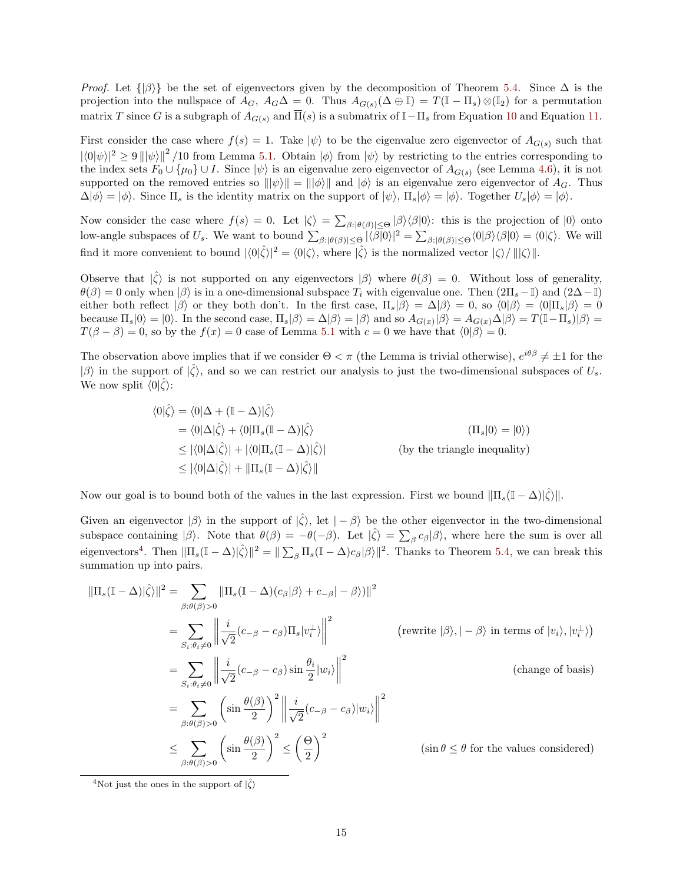*Proof.* Let  $\{|\beta\rangle\}$  be the set of eigenvectors given by the decomposition of Theorem [5.4.](#page-13-2) Since  $\Delta$  is the projection into the nullspace of  $A_G$ ,  $A_G\Delta = 0$ . Thus  $A_{G(s)}(\Delta \oplus \mathbb{I}) = T(\mathbb{I} - \Pi_s) \otimes (\mathbb{I}_2)$  for a permutation matrix T since G is a subgraph of  $A_{G(s)}$  and  $\overline{\Pi}(s)$  is a submatrix of I– $\Pi_s$  from Equation [10](#page-11-1) and Equation [11.](#page-11-2)

First consider the case where  $f(s) = 1$ . Take  $|\psi\rangle$  to be the eigenvalue zero eigenvector of  $A_{G(s)}$  such that  $|\langle 0|\psi\rangle|^2 \ge 9 ||\psi\rangle||^2 / 10$  from Lemma [5.1.](#page-12-2) Obtain  $|\phi\rangle$  from  $|\psi\rangle$  by restricting to the entries corresponding to the index sets  $F_0 \cup \{\mu_0\} \cup I$ . Since  $|\psi\rangle$  is an eigenvalue zero eigenvector of  $A_{G(s)}$  (see Lemma [4.6\)](#page-10-2), it is not supported on the removed entries so  $\|\psi\rangle\| = \|\psi\rangle\|$  and  $|\phi\rangle$  is an eigenvalue zero eigenvector of  $A_G$ . Thus  $\Delta|\phi\rangle = |\phi\rangle$ . Since  $\Pi_s$  is the identity matrix on the support of  $|\psi\rangle$ ,  $\Pi_s|\phi\rangle = |\phi\rangle$ . Together  $U_s|\phi\rangle = |\phi\rangle$ .

Now consider the case where  $f(s) = 0$ . Let  $|\zeta\rangle = \sum_{\beta: |\theta(\beta)| \leq \Theta} |\beta\rangle \langle \beta| 0 \rangle$ : this is the projection of  $|0\rangle$  onto low-angle subspaces of  $U_s$ . We want to bound  $\sum_{\beta: |\theta(\beta)| \leq \Theta} |\langle \beta | 0 \rangle|^2 = \sum_{\beta: |\theta(\beta)| \leq \Theta} \langle 0 | \beta \rangle \langle \beta | 0 \rangle = \langle 0 | \zeta \rangle$ . We will find it more convenient to bound  $|\langle 0|\hat{\zeta}\rangle|^2 = \langle 0|\zeta\rangle$ , where  $|\hat{\zeta}\rangle$  is the normalized vector  $|\zeta\rangle / |||\zeta\rangle||$ .

Observe that  $|\hat{\zeta}\rangle$  is not supported on any eigenvectors  $|\beta\rangle$  where  $\theta(\beta) = 0$ . Without loss of generality,  $\theta(\beta) = 0$  only when  $|\beta\rangle$  is in a one-dimensional subspace  $T_i$  with eigenvalue one. Then  $(2\Pi_s - \mathbb{I})$  and  $(2\Delta - \mathbb{I})$ either both reflect  $|\beta\rangle$  or they both don't. In the first case,  $\Pi_s|\beta\rangle = \Delta|\beta\rangle = 0$ , so  $\langle 0|\beta\rangle = \langle 0|\Pi_s|\beta\rangle = 0$ because  $\Pi_s|0\rangle = |0\rangle$ . In the second case,  $\Pi_s|\beta\rangle = \Delta|\beta\rangle = |\beta\rangle$  and so  $A_{G(x)}|\beta\rangle = A_{G(x)}\Delta|\beta\rangle = T(\mathbb{I} - \Pi_s)|\beta\rangle =$  $T(\beta - \beta) = 0$ , so by the  $f(x) = 0$  case of Lemma [5.1](#page-12-2) with  $c = 0$  we have that  $\langle 0 | \beta \rangle = 0$ .

The observation above implies that if we consider  $\Theta < \pi$  (the Lemma is trivial otherwise),  $e^{i\theta\beta} \neq \pm 1$  for the  $|\beta\rangle$  in the support of  $|\hat{\zeta}\rangle$ , and so we can restrict our analysis to just the two-dimensional subspaces of  $U_s$ . We now split  $\langle 0|\hat{\zeta}\rangle$ :

$$
\langle 0|\hat{\zeta}\rangle = \langle 0|\Delta + (\mathbb{I} - \Delta)|\hat{\zeta}\rangle
$$
  
\n
$$
= \langle 0|\Delta|\hat{\zeta}\rangle + \langle 0|\Pi_s(\mathbb{I} - \Delta)|\hat{\zeta}\rangle
$$
  
\n
$$
\leq |\langle 0|\Delta|\hat{\zeta}\rangle| + |\langle 0|\Pi_s(\mathbb{I} - \Delta)|\hat{\zeta}\rangle|
$$
  
\n
$$
\leq |\langle 0|\Delta|\hat{\zeta}\rangle| + \|\Pi_s(\mathbb{I} - \Delta)|\hat{\zeta}\rangle\|
$$
  
\n(by the triangle inequality)  
\n
$$
\leq |\langle 0|\Delta|\hat{\zeta}\rangle| + \|\Pi_s(\mathbb{I} - \Delta)|\hat{\zeta}\rangle\|
$$

Now our goal is to bound both of the values in the last expression. First we bound  $\|\Pi_s(\mathbb{I} - \Delta)|\hat{\zeta}\rangle\|$ .

Given an eigenvector  $|\beta\rangle$  in the support of  $|\hat{\zeta}\rangle$ , let  $|-\beta\rangle$  be the other eigenvector in the two-dimensional subspace containing  $|\beta\rangle$ . Note that  $\theta(\beta) = -\theta(-\beta)$ . Let  $|\hat{\zeta}\rangle = \sum_{\beta} c_{\beta} |\beta\rangle$ , where here the sum is over all eigenvectors<sup>[4](#page-14-0)</sup>. Then  $\|\Pi_s(\mathbb{I}-\Delta)|\hat{\zeta}\|^2 = \|\sum_{\beta}\Pi_s(\mathbb{I}-\Delta)c_{\beta}|\beta\rangle\|^2$ . Thanks to Theorem [5.4,](#page-13-2) we can break this summation up into pairs.

$$
\|\Pi_s(\mathbb{I} - \Delta)|\hat{\zeta}\rangle\|^2 = \sum_{\beta:\theta(\beta)>0} \|\Pi_s(\mathbb{I} - \Delta)(c_{\beta}|\beta\rangle + c_{-\beta}|- \beta\rangle)\|^2
$$
  
\n
$$
= \sum_{S_i:\theta_i \neq 0} \left\|\frac{i}{\sqrt{2}}(c_{-\beta} - c_{\beta})\Pi_s|v_i^{\perp}\rangle\right\|^2 \qquad \text{(rewrite } |\beta\rangle, |-\beta\rangle \text{ in terms of } |v_i\rangle, |v_i^{\perp}\rangle)
$$
  
\n
$$
= \sum_{S_i:\theta_i \neq 0} \left\|\frac{i}{\sqrt{2}}(c_{-\beta} - c_{\beta})\sin\frac{\theta_i}{2}|w_i\rangle\right\|^2 \qquad \text{(change of basis)}
$$
  
\n
$$
= \sum_{\beta:\theta(\beta)>0} \left(\sin\frac{\theta(\beta)}{2}\right)^2 \left\|\frac{i}{\sqrt{2}}(c_{-\beta} - c_{\beta})|w_i\rangle\right\|^2
$$
  
\n
$$
\leq \sum_{\beta:\theta(\beta)>0} \left(\sin\frac{\theta(\beta)}{2}\right)^2 \leq \left(\frac{\Theta}{2}\right)^2 \qquad \text{(sin }\theta \leq \theta \text{ for the values considered)}
$$

<span id="page-14-0"></span><sup>4</sup>Not just the ones in the support of  $|\hat{\zeta}\rangle$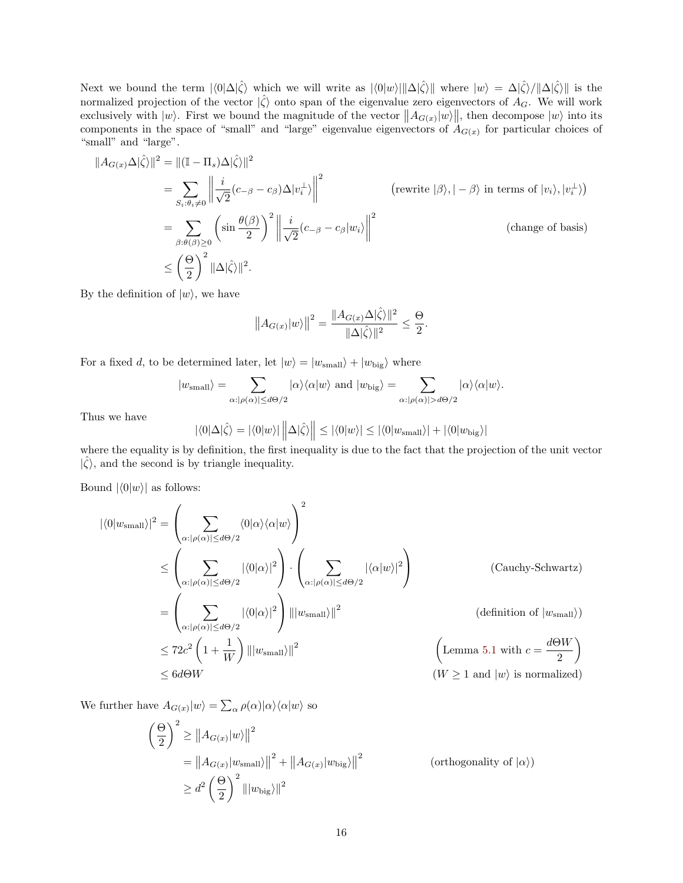Next we bound the term  $|\langle 0|\Delta|\hat{\zeta}\rangle$  which we will write as  $|\langle 0|w\rangle| ||\Delta|\hat{\zeta}\rangle ||$  where  $|w\rangle = \Delta|\hat{\zeta}\rangle/||\Delta|\hat{\zeta}\rangle ||$  is the normalized projection of the vector  $|\hat{\zeta}\rangle$  onto span of the eigenvalue zero eigenvectors of  $A_G$ . We will work exclusively with  $|w\rangle$ . First we bound the magnitude of the vector  $||A_{G(x)}|w\rangle||$ , then decompose  $|w\rangle$  into its components in the space of "small" and "large" eigenvalue eigenvectors of  $A_{G(x)}$  for particular choices of "small" and "large".

$$
||A_{G(x)}\Delta|\hat{\zeta}\rangle||^2 = ||(\mathbb{I} - \Pi_s)\Delta|\hat{\zeta}\rangle||^2
$$
  
\n
$$
= \sum_{S_i:\theta_i \neq 0} \left\| \frac{i}{\sqrt{2}}(c_{-\beta} - c_{\beta})\Delta|v_i^{\perp}\rangle \right\|^2 \qquad \text{(rewrite } |\beta\rangle, |-\beta\rangle \text{ in terms of } |v_i\rangle, |v_i^{\perp}\rangle)
$$
  
\n
$$
= \sum_{\beta:\theta(\beta)\geq 0} \left( \sin \frac{\theta(\beta)}{2} \right)^2 \left\| \frac{i}{\sqrt{2}}(c_{-\beta} - c_{\beta}|w_i) \right\|^2 \qquad \text{(change of basis)}
$$
  
\n
$$
\leq \left(\frac{\Theta}{2}\right)^2 ||\Delta|\hat{\zeta}\rangle||^2.
$$

By the definition of  $|w\rangle$ , we have

$$
||A_{G(x)}|w\rangle||^2=\frac{||A_{G(x)}\Delta|\hat{\zeta}\rangle||^2}{||\Delta|\hat{\zeta}\rangle||^2}\leq \frac{\Theta}{2}.
$$

For a fixed d, to be determined later, let  $|w\rangle = |w_{\text{small}}\rangle + |w_{\text{big}}\rangle$  where

$$
|w_{\text{small}}\rangle = \sum_{\alpha: |\rho(\alpha)| \leq d\Theta/2} |\alpha\rangle\langle\alpha|w\rangle \text{ and } |w_{\text{big}}\rangle = \sum_{\alpha: |\rho(\alpha)| > d\Theta/2} |\alpha\rangle\langle\alpha|w\rangle.
$$

Thus we have

$$
|\langle 0|\Delta|\hat{\zeta}\rangle = |\langle 0|w\rangle| \left\|\Delta|\hat{\zeta}\rangle\right\| \le |\langle 0|w\rangle| \le |\langle 0|w_{\text{small}}\rangle| + |\langle 0|w_{\text{big}}\rangle|
$$

where the equality is by definition, the first inequality is due to the fact that the projection of the unit vector  $|\hat{\zeta}\rangle$ , and the second is by triangle inequality.

Bound  $|\langle 0|w \rangle|$  as follows:

$$
|\langle 0|w_{\text{small}}\rangle|^{2} = \left(\sum_{\alpha:|\rho(\alpha)|\leq d\Theta/2} \langle 0|\alpha\rangle\langle\alpha|w\rangle\right)^{2}
$$
  
\n
$$
\leq \left(\sum_{\alpha:|\rho(\alpha)|\leq d\Theta/2} |\langle 0|\alpha\rangle|^{2}\right) \cdot \left(\sum_{\alpha:|\rho(\alpha)|\leq d\Theta/2} |\langle \alpha|w\rangle|^{2}\right)
$$
 (Cauchy-Schwartz)  
\n
$$
= \left(\sum_{\alpha:|\rho(\alpha)|\leq d\Theta/2} |\langle 0|\alpha\rangle|^{2}\right) |||w_{\text{small}}|||^{2}
$$
 (definition of |w\_{\text{small}}|)  
\n
$$
\leq 72c^{2} \left(1 + \frac{1}{W}\right) |||w_{\text{small}}|||^{2}
$$
 (Lemma 5.1 with  $c = \frac{d\Theta W}{2}$ )  
\n
$$
\leq 6d\Theta W
$$
 (W  $\geq 1$  and |w) is normalized)

We further have  $A_{G(x)}|w\rangle = \sum_{\alpha} \rho(\alpha)|\alpha\rangle\langle\alpha|w\rangle$  so

$$
\left(\frac{\Theta}{2}\right)^2 \ge ||A_{G(x)}|w\rangle||^2
$$
  
=  $||A_{G(x)}|w_{\text{small}}\rangle||^2 + ||A_{G(x)}|w_{\text{big}}\rangle||^2$  (orthogonality of  $|\alpha\rangle$ )  
 $\ge d^2 \left(\frac{\Theta}{2}\right)^2 ||w_{\text{big}}\rangle||^2$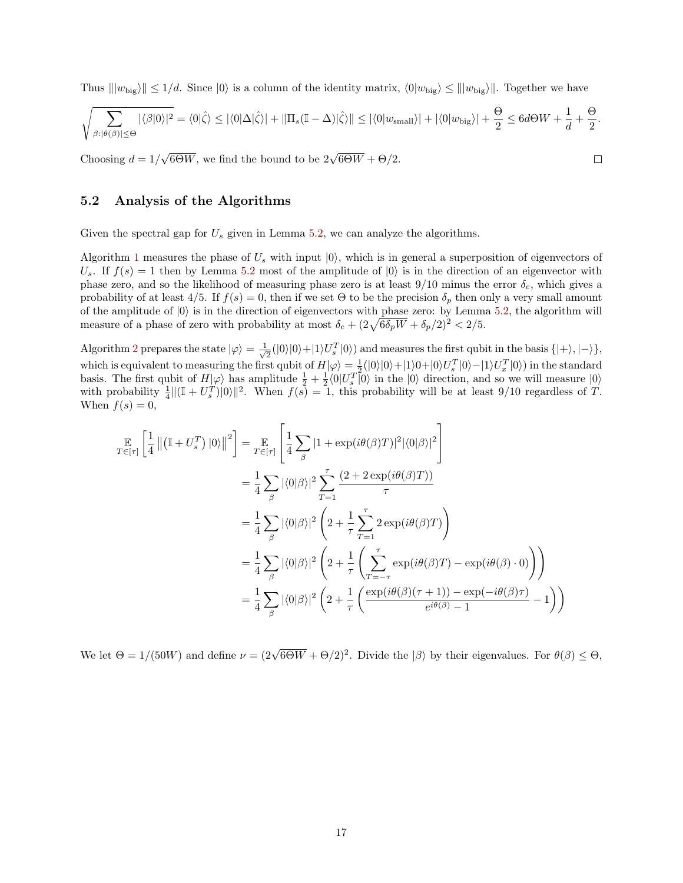Thus  $||w_{\text{big}}|| \le 1/d$ . Since  $|0\rangle$  is a column of the identity matrix,  $\langle 0|w_{\text{big}} \rangle \le ||w_{\text{big}}||$ . Together we have

$$
\sqrt{\sum_{\beta:|\theta(\beta)|\leq\Theta}|\langle\beta|0\rangle|^2} = \langle0|\hat{\zeta}\rangle \leq |\langle0|\Delta|\hat{\zeta}\rangle| + \|\Pi_s(\mathbb{I}-\Delta)|\hat{\zeta}\rangle\| \leq |\langle0|w_{\text{small}}\rangle| + |\langle0|w_{\text{big}}\rangle| + \frac{\Theta}{2} \leq 6d\Theta W + \frac{1}{d} + \frac{\Theta}{2}.
$$

 $\Box$ 

Choosing  $d = 1/$  $\sqrt{6\Theta W}$ , we find the bound to be  $2\sqrt{6\Theta W} + \Theta/2$ .

#### <span id="page-16-0"></span>5.2 Analysis of the Algorithms

Given the spectral gap for  $U_s$  given in Lemma [5.2,](#page-12-3) we can analyze the algorithms.

Algorithm [1](#page-12-4) measures the phase of  $U_s$  with input  $|0\rangle$ , which is in general a superposition of eigenvectors of  $U_s$ . If  $f(s) = 1$  then by Lemma [5.2](#page-12-3) most of the amplitude of  $|0\rangle$  is in the direction of an eigenvector with phase zero, and so the likelihood of measuring phase zero is at least  $9/10$  minus the error  $\delta_e$ , which gives a probability of at least  $4/5$ . If  $f(s) = 0$ , then if we set  $\Theta$  to be the precision  $\delta_p$  then only a very small amount of the amplitude of  $|0\rangle$  is in the direction of eigenvectors with phase zero: by Lemma [5.2,](#page-12-3) the algorithm will measure of a phase of zero with probability at most  $\delta_e + (2\sqrt{6\delta_p W} + \delta_p/2)^2 < 2/5$ .

Algorithm [2](#page-12-5) prepares the state  $|\varphi\rangle = \frac{1}{\sqrt{2}}$  $\frac{1}{2}(|0\rangle|0\rangle+|1\rangle U_s^T|0\rangle)$  and measures the first qubit in the basis  $\{|+\rangle, |-\rangle\},\$ which is equivalent to measuring the first qubit of  $H|\varphi\rangle = \frac{1}{2}(|0\rangle|0\rangle + |1\rangle0 + |0\rangle U_s^T|0\rangle - |1\rangle U_x^T|0\rangle)$  in the standard basis. The first qubit of  $H|\varphi\rangle$  has amplitude  $\frac{1}{2} + \frac{1}{2} \langle 0|U_s^T|0\rangle$  in the  $|0\rangle$  direction, and so we will measure  $|0\rangle$ with probability  $\frac{1}{4} ||(\mathbb{I} + U_s^T)|0\rangle||^2$ . When  $f(s) = 1$ , this probability will be at least 9/10 regardless of T. When  $f(s) = 0$ ,

$$
\mathbb{E}_{T \in [\tau]} \left[ \frac{1}{4} \left\| \left( \mathbb{I} + U_s^T \right) |0 \rangle \right\|^2 \right] = \mathbb{E}_{T \in [\tau]} \left[ \frac{1}{4} \sum_{\beta} |1 + \exp(i\theta(\beta)T)|^2 |\langle 0|\beta \rangle|^2 \right]
$$
\n
$$
= \frac{1}{4} \sum_{\beta} |\langle 0|\beta \rangle|^2 \sum_{T=1}^{\tau} \frac{(2 + 2 \exp(i\theta(\beta)T))}{\tau}
$$
\n
$$
= \frac{1}{4} \sum_{\beta} |\langle 0|\beta \rangle|^2 \left( 2 + \frac{1}{\tau} \sum_{T=1}^{\tau} 2 \exp(i\theta(\beta)T) \right)
$$
\n
$$
= \frac{1}{4} \sum_{\beta} |\langle 0|\beta \rangle|^2 \left( 2 + \frac{1}{\tau} \left( \sum_{T=-\tau}^{\tau} \exp(i\theta(\beta)T) - \exp(i\theta(\beta) \cdot 0) \right) \right)
$$
\n
$$
= \frac{1}{4} \sum_{\beta} |\langle 0|\beta \rangle|^2 \left( 2 + \frac{1}{\tau} \left( \frac{\exp(i\theta(\beta)(\tau+1)) - \exp(-i\theta(\beta)\tau)}{\epsilon^{i\theta(\beta)} - 1} - 1 \right) \right)
$$

We let  $\Theta = 1/(50W)$  and define  $\nu = (2\sqrt{6\Theta W} + \Theta/2)^2$ . Divide the  $|\beta\rangle$  by their eigenvalues. For  $\theta(\beta) \leq \Theta$ ,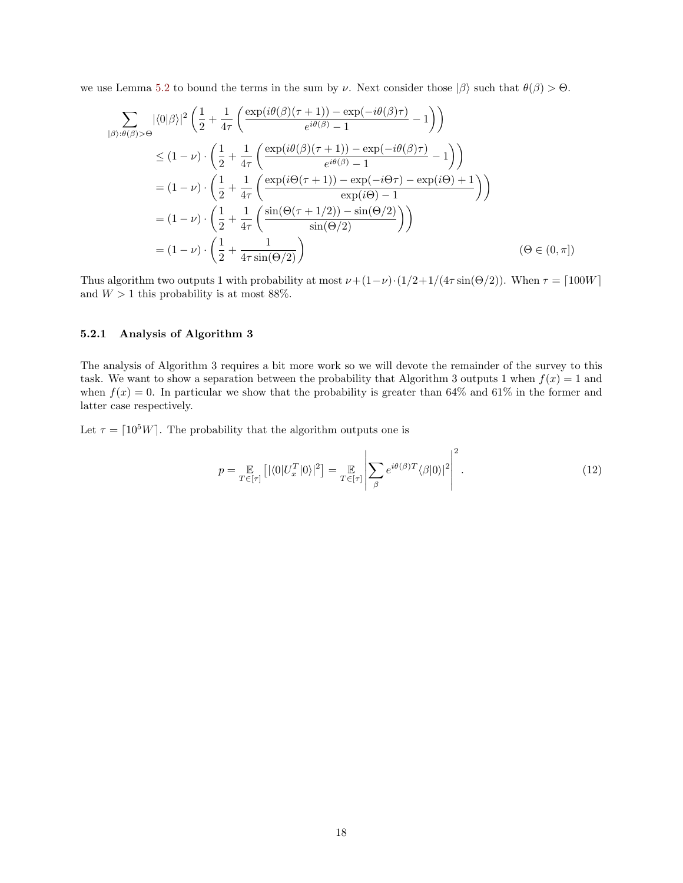we use Lemma [5.2](#page-12-3) to bound the terms in the sum by  $\nu$ . Next consider those  $|\beta\rangle$  such that  $\theta(\beta) > \Theta$ .

$$
\sum_{|\beta\rangle:\theta(\beta)>0} |\langle 0|\beta\rangle|^2 \left(\frac{1}{2} + \frac{1}{4\tau} \left(\frac{\exp(i\theta(\beta)(\tau+1)) - \exp(-i\theta(\beta)\tau)}{\epsilon^{i\theta(\beta)} - 1} - 1\right)\right)
$$
\n
$$
\leq (1 - \nu) \cdot \left(\frac{1}{2} + \frac{1}{4\tau} \left(\frac{\exp(i\theta(\beta)(\tau+1)) - \exp(-i\theta(\beta)\tau)}{\epsilon^{i\theta(\beta)} - 1} - 1\right)\right)
$$
\n
$$
= (1 - \nu) \cdot \left(\frac{1}{2} + \frac{1}{4\tau} \left(\frac{\exp(i\Theta(\tau+1)) - \exp(-i\Theta\tau) - \exp(i\Theta) + 1}{\exp(i\Theta) - 1}\right)\right)
$$
\n
$$
= (1 - \nu) \cdot \left(\frac{1}{2} + \frac{1}{4\tau} \left(\frac{\sin(\Theta(\tau+1/2)) - \sin(\Theta/2)}{\sin(\Theta/2)}\right)\right)
$$
\n
$$
= (1 - \nu) \cdot \left(\frac{1}{2} + \frac{1}{4\tau \sin(\Theta/2)}\right) \qquad (\Theta \in (0, \pi])
$$

Thus algorithm two outputs 1 with probability at most  $\nu+(1-\nu)\cdot(1/2+1/(4\tau\sin(\Theta/2))$ . When  $\tau = \lceil 100W \rceil$ and  $W > 1$  this probability is at most 88%.

#### <span id="page-17-0"></span>5.2.1 Analysis of Algorithm 3

The analysis of Algorithm 3 requires a bit more work so we will devote the remainder of the survey to this task. We want to show a separation between the probability that Algorithm 3 outputs 1 when  $f(x) = 1$  and when  $f(x) = 0$ . In particular we show that the probability is greater than 64% and 61% in the former and latter case respectively.

Let  $\tau = \lceil 10^5 W \rceil$ . The probability that the algorithm outputs one is

$$
p = \mathop{\mathbb{E}}_{T \in [\tau]} \left[ |\langle 0| U_x^T | 0 \rangle|^2 \right] = \mathop{\mathbb{E}}_{T \in [\tau]} \left| \sum_{\beta} e^{i \theta(\beta) T} \langle \beta | 0 \rangle|^2 \right|^2.
$$
 (12)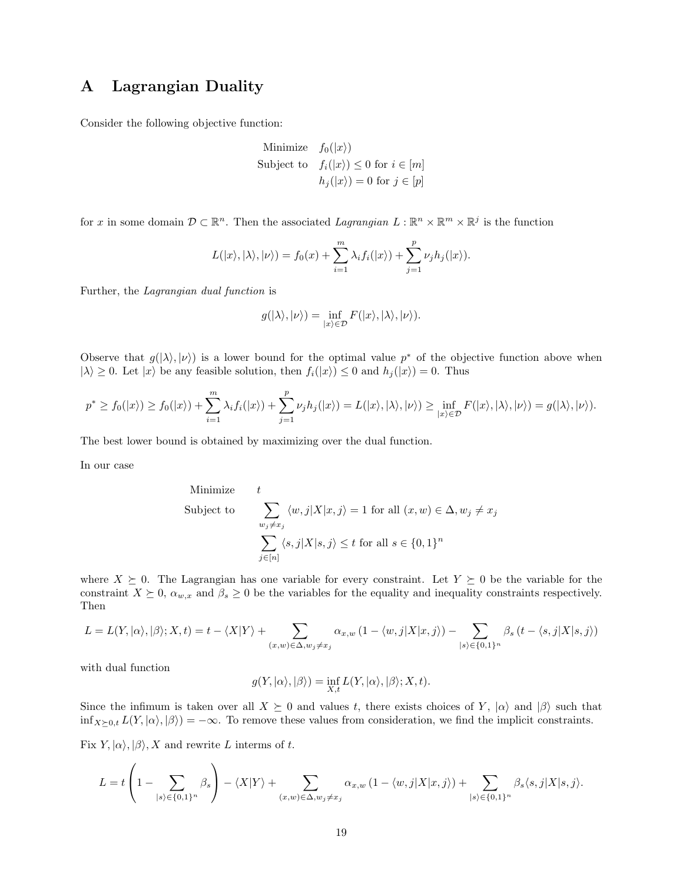### <span id="page-18-0"></span>A Lagrangian Duality

Consider the following objective function:

Minimize 
$$
f_0(|x\rangle)
$$
  
Subject to  $f_i(|x\rangle) \le 0$  for  $i \in [m]$   
 $h_j(|x\rangle) = 0$  for  $j \in [p]$ 

for x in some domain  $\mathcal{D} \subset \mathbb{R}^n$ . Then the associated Lagrangian  $L : \mathbb{R}^n \times \mathbb{R}^m \times \mathbb{R}^j$  is the function

$$
L(|x\rangle, |\lambda\rangle, |\nu\rangle) = f_0(x) + \sum_{i=1}^m \lambda_i f_i(|x\rangle) + \sum_{j=1}^p \nu_j h_j(|x\rangle).
$$

Further, the Lagrangian dual function is

$$
g(|\lambda\rangle,|\nu\rangle)=\inf_{|x\rangle\in\mathcal{D}}F(|x\rangle,|\lambda\rangle,|\nu\rangle).
$$

Observe that  $g(|\lambda\rangle, |\nu\rangle)$  is a lower bound for the optimal value  $p^*$  of the objective function above when  $|\lambda\rangle \geq 0$ . Let  $|x\rangle$  be any feasible solution, then  $f_i(|x\rangle) \leq 0$  and  $h_j(|x\rangle) = 0$ . Thus

$$
p^* \ge f_0(|x\rangle) \ge f_0(|x\rangle) + \sum_{i=1}^m \lambda_i f_i(|x\rangle) + \sum_{j=1}^p \nu_j h_j(|x\rangle) = L(|x\rangle, |\lambda\rangle, |\nu\rangle) \ge \inf_{|x\rangle \in \mathcal{D}} F(|x\rangle, |\lambda\rangle, |\nu\rangle) = g(|\lambda\rangle, |\nu\rangle).
$$

The best lower bound is obtained by maximizing over the dual function.

In our case

Minimize 
$$
t
$$
  
\nSubject to\n
$$
\sum_{w_j \neq x_j} \langle w, j | X | x, j \rangle = 1 \text{ for all } (x, w) \in \Delta, w_j \neq x_j
$$
\n
$$
\sum_{j \in [n]} \langle s, j | X | s, j \rangle \leq t \text{ for all } s \in \{0, 1\}^n
$$

where  $X \succeq 0$ . The Lagrangian has one variable for every constraint. Let  $Y \succeq 0$  be the variable for the constraint  $X \succeq 0$ ,  $\alpha_{w,x}$  and  $\beta_s \geq 0$  be the variables for the equality and inequality constraints respectively. Then

$$
L = L(Y, |\alpha\rangle, |\beta\rangle; X, t) = t - \langle X|Y\rangle + \sum_{(x,w)\in\Delta, w_j \neq x_j} \alpha_{x,w} (1 - \langle w,j|X|x,j\rangle) - \sum_{|s\rangle \in \{0,1\}^n} \beta_s (t - \langle s,j|X|s,j\rangle)
$$

with dual function

$$
g(Y, |\alpha\rangle, |\beta\rangle) = \inf_{X,t} L(Y, |\alpha\rangle, |\beta\rangle; X, t).
$$

Since the infimum is taken over all  $X \succeq 0$  and values t, there exists choices of Y,  $|\alpha\rangle$  and  $|\beta\rangle$  such that  $\inf_{X\succeq 0,t} L(Y, |\alpha\rangle, |\beta\rangle) = -\infty$ . To remove these values from consideration, we find the implicit constraints.

Fix  $Y, |\alpha\rangle, |\beta\rangle, X$  and rewrite L interms of t.

$$
L = t \left( 1 - \sum_{|s\rangle \in \{0,1\}^n} \beta_s \right) - \langle X|Y\rangle + \sum_{(x,w)\in \Delta, w_j \neq x_j} \alpha_{x,w} \left( 1 - \langle w,j|X|x,j\rangle \right) + \sum_{|s\rangle \in \{0,1\}^n} \beta_s \langle s,j|X|s,j\rangle.
$$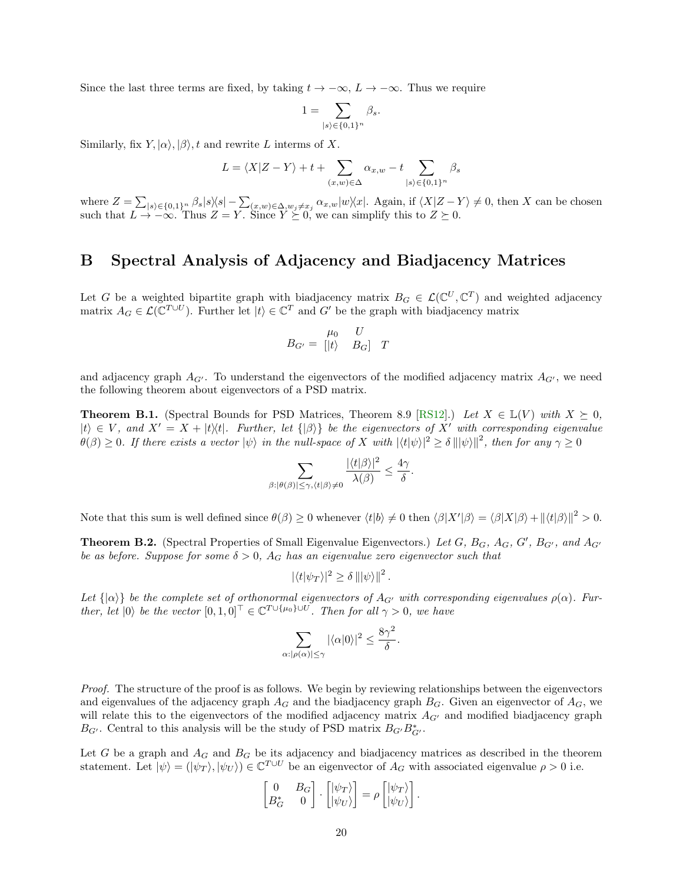Since the last three terms are fixed, by taking  $t \to -\infty$ ,  $L \to -\infty$ . Thus we require

$$
1=\sum_{|s\rangle\in\{0,1\}^n}\beta_s.
$$

Similarly, fix  $Y, |\alpha\rangle, |\beta\rangle, t$  and rewrite L interms of X.

$$
L = \langle X|Z - Y \rangle + t + \sum_{(x,w) \in \Delta} \alpha_{x,w} - t \sum_{|s\rangle \in \{0,1\}^n} \beta_s
$$

where  $Z = \sum_{|s\rangle \in \{0,1\}^n} \beta_s |s\rangle\langle s| - \sum_{(x,w)\in \Delta, w_j \neq x_j} \alpha_{x,w} |w\rangle\langle x|$ . Again, if  $\langle X|Z-Y\rangle \neq 0$ , then X can be chosen such that  $L \to -\infty$ . Thus  $Z = Y$ . Since  $Y \succeq 0$ , we can simplify this to  $Z \succeq 0$ .

#### <span id="page-19-0"></span>B Spectral Analysis of Adjacency and Biadjacency Matrices

Let G be a weighted bipartite graph with biadjacency matrix  $B_G \in \mathcal{L}(\mathbb{C}^U, \mathbb{C}^T)$  and weighted adjacency matrix  $A_G \in \mathcal{L}(\mathbb{C}^{T \cup U})$ . Further let  $|t\rangle \in \mathbb{C}^T$  and G' be the graph with biadjacency matrix

$$
B_{G'} = \begin{bmatrix} \mu_0 & U \\ \vert t \rangle & B_G \end{bmatrix} T
$$

and adjacency graph  $A_{G'}$ . To understand the eigenvectors of the modified adjacency matrix  $A_{G'}$ , we need the following theorem about eigenvectors of a PSD matrix.

<span id="page-19-1"></span>**Theorem B.1.** (Spectral Bounds for PSD Matrices, Theorem 8.9 [\[RS12\]](#page-22-11).) Let  $X \in \mathbb{L}(V)$  with  $X \succeq 0$ ,  $|t\rangle \in V$ , and  $X' = X + |t\rangle\langle t|$ . Further, let  $\{|\beta\rangle\}$  be the eigenvectors of X' with corresponding eigenvalue  $\theta(\beta) \geq 0$ . If there exists a vector  $|\psi\rangle$  in the null-space of X with  $|\langle t|\psi\rangle|^2 \geq \delta |||\psi\rangle||^2$ , then for any  $\gamma \geq 0$ 

$$
\sum_{\beta: |\theta(\beta)| \le \gamma, \langle t | \beta \rangle \neq 0} \frac{|\langle t | \beta \rangle|^2}{\lambda(\beta)} \le \frac{4\gamma}{\delta}
$$

.

.

Note that this sum is well defined since  $\theta(\beta) \ge 0$  whenever  $\langle t | b \rangle \ne 0$  then  $\langle \beta | X' | \beta \rangle = \langle \beta | X | \beta \rangle + \| \langle t | \beta \rangle \|^2 > 0$ .

<span id="page-19-2"></span>**Theorem B.2.** (Spectral Properties of Small Eigenvalue Eigenvectors.) Let  $G$ ,  $B_G$ ,  $A_G$ ,  $G'$ ,  $B_{G'}$ , and  $A_{G'}$ be as before. Suppose for some  $\delta > 0$ ,  $A_G$  has an eigenvalue zero eigenvector such that

$$
|\langle t|\psi_T\rangle|^2 \ge \delta \, |||\psi\rangle||^2 \, .
$$

Let  $\{|\alpha\rangle\}$  be the complete set of orthonormal eigenvectors of  $A_{G'}$  with corresponding eigenvalues  $\rho(\alpha)$ . Further, let  $|0\rangle$  be the vector  $[0,1,0]^{\top} \in \mathbb{C}^{T \cup {\{\mu_0\}} \cup U}$ . Then for all  $\gamma > 0$ , we have

$$
\sum_{\alpha: |\rho(\alpha)| \le \gamma} |\langle \alpha | 0 \rangle|^2 \le \frac{8\gamma^2}{\delta}
$$

Proof. The structure of the proof is as follows. We begin by reviewing relationships between the eigenvectors and eigenvalues of the adjacency graph  $A_G$  and the biadjacency graph  $B_G$ . Given an eigenvector of  $A_G$ , we will relate this to the eigenvectors of the modified adjacency matrix  $A_{G'}$  and modified biadjacency graph  $B_{G'}$ . Central to this analysis will be the study of PSD matrix  $B_{G'}B_{G'}^*$ .

Let G be a graph and  $A_G$  and  $B_G$  be its adjacency and biadjacency matrices as described in the theorem statement. Let  $|\psi\rangle = (|\psi_T\rangle, |\psi_U\rangle) \in \mathbb{C}^{T \cup U}$  be an eigenvector of  $A_G$  with associated eigenvalue  $\rho > 0$  i.e.

$$
\begin{bmatrix} 0 & B_G \\ B_G^* & 0 \end{bmatrix} \cdot \begin{bmatrix} |\psi_T\rangle \\ |\psi_U\rangle \end{bmatrix} = \rho \begin{bmatrix} |\psi_T\rangle \\ |\psi_U\rangle \end{bmatrix}.
$$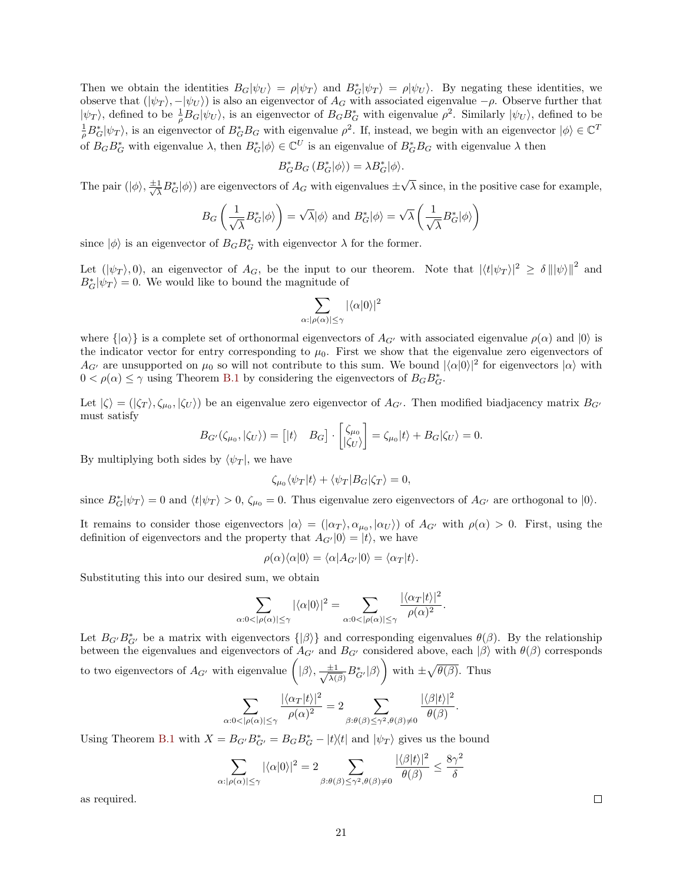Then we obtain the identities  $B_G|\psi_U\rangle = \rho|\psi_T\rangle$  and  $B^*_G|\psi_T\rangle = \rho|\psi_U\rangle$ . By negating these identities, we observe that  $(|\psi_T\rangle, -|\psi_U\rangle)$  is also an eigenvector of  $A_G$  with associated eigenvalue  $-\rho$ . Observe further that  $|\psi_T\rangle$ , defined to be  $\frac{1}{\rho}B_G|\psi_U\rangle$ , is an eigenvector of  $B_GB_G^*$  with eigenvalue  $\rho^2$ . Similarly  $|\psi_U\rangle$ , defined to be  $\frac{1}{\rho}B_G^*|\psi_T\rangle$ , is an eigenvector of  $B_G^*B_G$  with eigenvalue  $\rho^2$ . If, instead, we begin with an eigenvector  $|\phi\rangle \in \mathbb{C}^T$ of  $B_G B_G^*$  with eigenvalue  $\lambda$ , then  $B_G^* \ket{\phi} \in \mathbb{C}^U$  is an eigenvalue of  $B_G^* B_G$  with eigenvalue  $\lambda$  then

$$
B_G^* B_G (B_G^* | \phi \rangle) = \lambda B_G^* | \phi \rangle.
$$

The pair  $(|\phi\rangle, \frac{\pm 1}{\sqrt{2}})$  $\frac{1}{\lambda}B_G^*|\phi\rangle)$  are eigenvectors of  $A_G$  with eigenvalues  $\pm$ √  $\lambda$  since, in the positive case for example,

$$
B_G\left(\frac{1}{\sqrt{\lambda}}B^*_G|\phi\rangle\right) = \sqrt{\lambda}|\phi\rangle \text{ and } B^*_G|\phi\rangle = \sqrt{\lambda}\left(\frac{1}{\sqrt{\lambda}}B^*_G|\phi\rangle\right)
$$

since  $|\phi\rangle$  is an eigenvector of  $B_G B^*_G$  with eigenvector  $\lambda$  for the former.

Let  $(|\psi_T\rangle, 0)$ , an eigenvector of  $A_G$ , be the input to our theorem. Note that  $|\langle t|\psi_T\rangle|^2 \ge \delta ||\psi||^2$  and  $B_G^*|\psi_T\rangle = 0$ . We would like to bound the magnitude of

$$
\sum_{\alpha:|\rho(\alpha)|\leq\gamma}|\langle\alpha|0\rangle|^2
$$

where  $\{\alpha\}$  is a complete set of orthonormal eigenvectors of  $A_{G'}$  with associated eigenvalue  $\rho(\alpha)$  and  $|0\rangle$  is the indicator vector for entry corresponding to  $\mu_0$ . First we show that the eigenvalue zero eigenvectors of  $A_{G'}$  are unsupported on  $\mu_0$  so will not contribute to this sum. We bound  $|\langle \alpha | 0 \rangle|^2$  for eigenvectors  $|\alpha\rangle$  with  $0 < \rho(\alpha) \leq \gamma$  using Theorem [B.1](#page-19-1) by considering the eigenvectors of  $B_G B^*_{G}$ .

Let  $|\zeta\rangle = (|\zeta_T\rangle, \zeta_{\mu_0}, |\zeta_U\rangle)$  be an eigenvalue zero eigenvector of  $A_{G'}$ . Then modified biadjacency matrix  $B_{G'}$ must satisfy

$$
B_{G'}(\zeta_{\mu_0},|\zeta_{U}\rangle) = [ |t\rangle \quad B_G] \cdot \begin{bmatrix} \zeta_{\mu_0} \\ |\zeta_{U}\rangle \end{bmatrix} = \zeta_{\mu_0} |t\rangle + B_G|\zeta_{U}\rangle = 0.
$$

By multiplying both sides by  $\langle \psi_T |$ , we have

$$
\zeta_{\mu_0} \langle \psi_T | t \rangle + \langle \psi_T | B_G | \zeta_T \rangle = 0,
$$

since  $B_G^*|\psi_T\rangle = 0$  and  $\langle t|\psi_T\rangle > 0$ ,  $\zeta_{\mu_0} = 0$ . Thus eigenvalue zero eigenvectors of  $A_{G'}$  are orthogonal to  $|0\rangle$ .

It remains to consider those eigenvectors  $|\alpha\rangle = (|\alpha_T\rangle, \alpha_{\mu_0}, |\alpha_U\rangle)$  of  $A_{G'}$  with  $\rho(\alpha) > 0$ . First, using the definition of eigenvectors and the property that  $A_{G'}|0\rangle = |t\rangle$ , we have

$$
\rho(\alpha)\langle \alpha|0\rangle = \langle \alpha|A_{G'}|0\rangle = \langle \alpha_T|t\rangle.
$$

Substituting this into our desired sum, we obtain

$$
\sum_{\alpha:0<|\rho(\alpha)|\leq\gamma}|\langle\alpha|0\rangle|^2=\sum_{\alpha:0<|\rho(\alpha)|\leq\gamma}\frac{|\langle\alpha_T|t\rangle|^2}{\rho(\alpha)^2}.
$$

Let  $B_{G'}B_{G'}^*$  be a matrix with eigenvectors  $\{|\beta\rangle\}$  and corresponding eigenvalues  $\theta(\beta)$ . By the relationship between the eigenvalues and eigenvectors of  $A_{G'}$  and  $B_{G'}$  considered above, each  $|\beta\rangle$  with  $\theta(\beta)$  corresponds to two eigenvectors of  $A_{G'}$  with eigenvalue  $(|\beta\rangle, \frac{\pm 1}{\sqrt{2}})$  $\frac{\pm 1}{\lambda(\beta)} B_{G'}^* |\beta\rangle$  with  $\pm \sqrt{\theta(\beta)}$ . Thus

$$
\sum_{\alpha:0<|\rho(\alpha)|\leq\gamma}\frac{|\langle\alpha_T|t\rangle|^2}{\rho(\alpha)^2}=2\sum_{\beta:\theta(\beta)\leq\gamma^2,\theta(\beta)\neq 0}\frac{|\langle\beta|t\rangle|^2}{\theta(\beta)}.
$$

Using Theorem [B.1](#page-19-1) with  $X = B_{G'}B_{G'}^* = B_GB_G^* - |t\rangle\langle t|$  and  $|\psi_T\rangle$  gives us the bound

$$
\sum_{\alpha: |\rho(\alpha)| \le \gamma} |\langle \alpha | 0 \rangle|^2 = 2 \sum_{\beta: \theta(\beta) \le \gamma^2, \theta(\beta) \neq 0} \frac{|\langle \beta | t \rangle|^2}{\theta(\beta)} \le \frac{8\gamma^2}{\delta}
$$

as required.

 $\Box$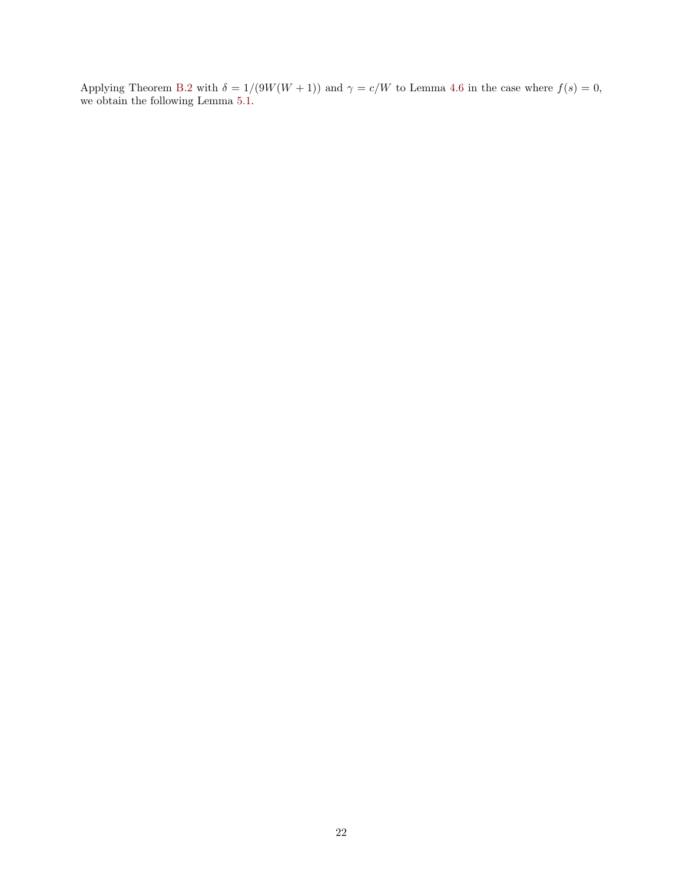Applying Theorem [B.2](#page-19-2) with  $\delta = 1/(9W(W+1))$  and  $\gamma = c/W$  to Lemma [4.6](#page-10-2) in the case where  $f(s) = 0$ , we obtain the following Lemma [5.1.](#page-12-2)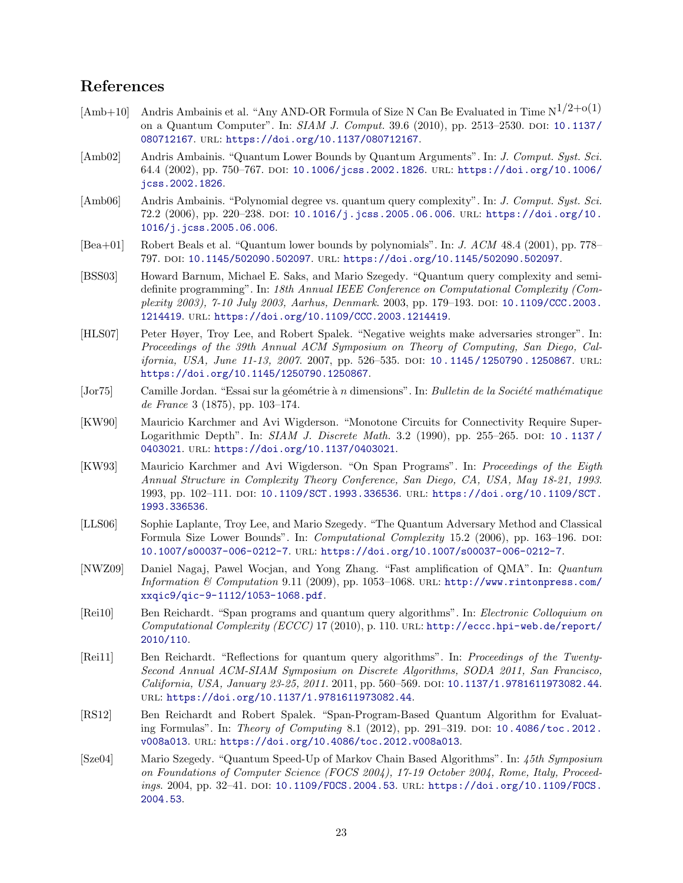### References

- <span id="page-22-8"></span>[Amb+10] Andris Ambainis et al. "Any AND-OR Formula of Size N Can Be Evaluated in Time  $N^{1/2+o(1)}$ on a Quantum Computer". In: SIAM J. Comput. 39.6 (2010), pp. 2513–2530. DOI: [10.1137/](https://doi.org/10.1137/080712167) [080712167](https://doi.org/10.1137/080712167). url: <https://doi.org/10.1137/080712167>.
- <span id="page-22-1"></span>[Amb02] Andris Ambainis. "Quantum Lower Bounds by Quantum Arguments". In: J. Comput. Syst. Sci. 64.4 (2002), pp. 750–767. doi: [10.1006/jcss.2002.1826](https://doi.org/10.1006/jcss.2002.1826). url: [https://doi.org/10.1006/](https://doi.org/10.1006/jcss.2002.1826) [jcss.2002.1826](https://doi.org/10.1006/jcss.2002.1826).
- <span id="page-22-3"></span>[Amb06] Andris Ambainis. "Polynomial degree vs. quantum query complexity". In: J. Comput. Syst. Sci. 72.2 (2006), pp. 220–238. doi: [10.1016/j.jcss.2005.06.006](https://doi.org/10.1016/j.jcss.2005.06.006). url: [https://doi.org/10.](https://doi.org/10.1016/j.jcss.2005.06.006) [1016/j.jcss.2005.06.006](https://doi.org/10.1016/j.jcss.2005.06.006).
- <span id="page-22-0"></span>[Bea+01] Robert Beals et al. "Quantum lower bounds by polynomials". In: J. ACM 48.4 (2001), pp. 778– 797. doi: [10.1145/502090.502097](https://doi.org/10.1145/502090.502097). url: <https://doi.org/10.1145/502090.502097>.
- <span id="page-22-2"></span>[BSS03] Howard Barnum, Michael E. Saks, and Mario Szegedy. "Quantum query complexity and semidefinite programming". In: 18th Annual IEEE Conference on Computational Complexity (Complexity 2003), 7-10 July 2003, Aarhus, Denmark. 2003, pp. 179–193. doi: [10.1109/CCC.2003.](https://doi.org/10.1109/CCC.2003.1214419) [1214419](https://doi.org/10.1109/CCC.2003.1214419). url: <https://doi.org/10.1109/CCC.2003.1214419>.
- <span id="page-22-5"></span>[HLS07] Peter Høyer, Troy Lee, and Robert Spalek. "Negative weights make adversaries stronger". In: Proceedings of the 39th Annual ACM Symposium on Theory of Computing, San Diego, California, USA, June 11-13, 2007. 2007, pp. 526-535. DOI: 10.1145/1250790.1250867. URL: <https://doi.org/10.1145/1250790.1250867>.
- <span id="page-22-14"></span>[Jor75] Camille Jordan. "Essai sur la géométrie à n dimensions". In: Bulletin de la Société mathématique de France 3 (1875), pp. 103–174.
- <span id="page-22-9"></span>[KW90] Mauricio Karchmer and Avi Wigderson. "Monotone Circuits for Connectivity Require Super-Logarithmic Depth". In: SIAM J. Discrete Math. 3.2 (1990), pp. 255–265. DOI: 10. 1137/ [0403021](https://doi.org/10.1137/0403021). url: <https://doi.org/10.1137/0403021>.
- <span id="page-22-7"></span>[KW93] Mauricio Karchmer and Avi Wigderson. "On Span Programs". In: Proceedings of the Eigth Annual Structure in Complexity Theory Conference, San Diego, CA, USA, May 18-21, 1993. 1993, pp. 102–111. doi: [10.1109/SCT.1993.336536](https://doi.org/10.1109/SCT.1993.336536). url: [https://doi.org/10.1109/SCT.](https://doi.org/10.1109/SCT.1993.336536) [1993.336536](https://doi.org/10.1109/SCT.1993.336536).
- <span id="page-22-4"></span>[LLS06] Sophie Laplante, Troy Lee, and Mario Szegedy. "The Quantum Adversary Method and Classical Formula Size Lower Bounds". In: *Computational Complexity* 15.2 (2006), pp. 163–196. DOI: [10.1007/s00037-006-0212-7](https://doi.org/10.1007/s00037-006-0212-7). url: <https://doi.org/10.1007/s00037-006-0212-7>.
- <span id="page-22-13"></span>[NWZ09] Daniel Nagaj, Pawel Wocjan, and Yong Zhang. "Fast amplification of QMA". In: Quantum Information & Computation 9.11 (2009), pp. 1053-1068. URL: [http://www.rintonpress.com/](http://www.rintonpress.com/xxqic9/qic-9-1112/1053-1068.pdf) [xxqic9/qic-9-1112/1053-1068.pdf](http://www.rintonpress.com/xxqic9/qic-9-1112/1053-1068.pdf).
- <span id="page-22-10"></span>[Rei10] Ben Reichardt. "Span programs and quantum query algorithms". In: Electronic Colloquium on Computational Complexity (ECCC) 17 (2010), p. 110. url: [http://eccc.hpi-web.de/report/](http://eccc.hpi-web.de/report/2010/110) [2010/110](http://eccc.hpi-web.de/report/2010/110).
- <span id="page-22-6"></span>[Rei11] Ben Reichardt. "Reflections for quantum query algorithms". In: Proceedings of the Twenty-Second Annual ACM-SIAM Symposium on Discrete Algorithms, SODA 2011, San Francisco, California, USA, January 23-25, 2011. 2011, pp. 560-569. DOI: [10.1137/1.9781611973082.44](https://doi.org/10.1137/1.9781611973082.44). url: <https://doi.org/10.1137/1.9781611973082.44>.
- <span id="page-22-11"></span>[RS12] Ben Reichardt and Robert Spalek. "Span-Program-Based Quantum Algorithm for Evaluat-ing Formulas". In: Theory of Computing 8.1 (2012), pp. 291-319. DOI: [10.4086/toc.2012.](https://doi.org/10.4086/toc.2012.v008a013) [v008a013](https://doi.org/10.4086/toc.2012.v008a013). url: <https://doi.org/10.4086/toc.2012.v008a013>.
- <span id="page-22-12"></span>[Sze04] Mario Szegedy. "Quantum Speed-Up of Markov Chain Based Algorithms". In: 45th Symposium on Foundations of Computer Science (FOCS 2004), 17-19 October 2004, Rome, Italy, Proceedings. 2004, pp. 32-41. DOI: 10.1109/FOCS. 2004.53. URL: [https://doi.org/10.1109/FOCS.](https://doi.org/10.1109/FOCS.2004.53) [2004.53](https://doi.org/10.1109/FOCS.2004.53).